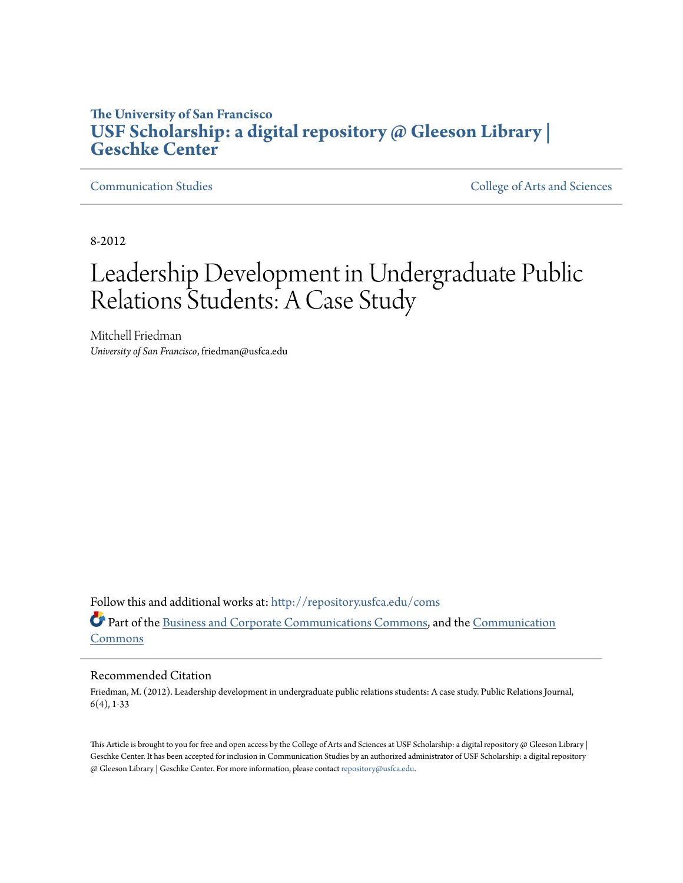# **The University of San Francisco [USF Scholarship: a digital repository @ Gleeson Library |](http://repository.usfca.edu?utm_source=repository.usfca.edu%2Fcoms%2F10&utm_medium=PDF&utm_campaign=PDFCoverPages) [Geschke Center](http://repository.usfca.edu?utm_source=repository.usfca.edu%2Fcoms%2F10&utm_medium=PDF&utm_campaign=PDFCoverPages)**

[Communication Studies](http://repository.usfca.edu/coms?utm_source=repository.usfca.edu%2Fcoms%2F10&utm_medium=PDF&utm_campaign=PDFCoverPages) [College of Arts and Sciences](http://repository.usfca.edu/artsci?utm_source=repository.usfca.edu%2Fcoms%2F10&utm_medium=PDF&utm_campaign=PDFCoverPages)

8-2012

# Leadership Development in Undergraduate Public Relations Students: A Case Study

Mitchell Friedman *University of San Francisco*, friedman@usfca.edu

Follow this and additional works at: [http://repository.usfca.edu/coms](http://repository.usfca.edu/coms?utm_source=repository.usfca.edu%2Fcoms%2F10&utm_medium=PDF&utm_campaign=PDFCoverPages) Part of the [Business and Corporate Communications Commons](http://network.bepress.com/hgg/discipline/627?utm_source=repository.usfca.edu%2Fcoms%2F10&utm_medium=PDF&utm_campaign=PDFCoverPages), and the [Communication](http://network.bepress.com/hgg/discipline/325?utm_source=repository.usfca.edu%2Fcoms%2F10&utm_medium=PDF&utm_campaign=PDFCoverPages) [Commons](http://network.bepress.com/hgg/discipline/325?utm_source=repository.usfca.edu%2Fcoms%2F10&utm_medium=PDF&utm_campaign=PDFCoverPages)

# Recommended Citation

Friedman, M. (2012). Leadership development in undergraduate public relations students: A case study. Public Relations Journal, 6(4), 1-33

This Article is brought to you for free and open access by the College of Arts and Sciences at USF Scholarship: a digital repository @ Gleeson Library | Geschke Center. It has been accepted for inclusion in Communication Studies by an authorized administrator of USF Scholarship: a digital repository @ Gleeson Library | Geschke Center. For more information, please contact [repository@usfca.edu](mailto:repository@usfca.edu).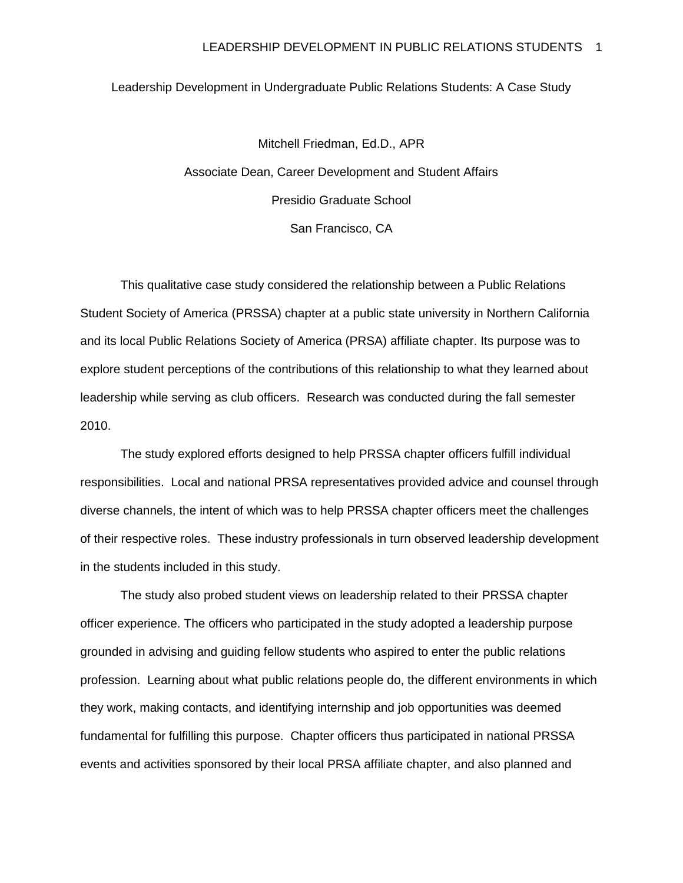#### Leadership Development in Undergraduate Public Relations Students: A Case Study

Mitchell Friedman, Ed.D., APR Associate Dean, Career Development and Student Affairs Presidio Graduate School San Francisco, CA

This qualitative case study considered the relationship between a Public Relations Student Society of America (PRSSA) chapter at a public state university in Northern California and its local Public Relations Society of America (PRSA) affiliate chapter. Its purpose was to explore student perceptions of the contributions of this relationship to what they learned about leadership while serving as club officers. Research was conducted during the fall semester 2010.

The study explored efforts designed to help PRSSA chapter officers fulfill individual responsibilities. Local and national PRSA representatives provided advice and counsel through diverse channels, the intent of which was to help PRSSA chapter officers meet the challenges of their respective roles. These industry professionals in turn observed leadership development in the students included in this study.

The study also probed student views on leadership related to their PRSSA chapter officer experience. The officers who participated in the study adopted a leadership purpose grounded in advising and guiding fellow students who aspired to enter the public relations profession. Learning about what public relations people do, the different environments in which they work, making contacts, and identifying internship and job opportunities was deemed fundamental for fulfilling this purpose. Chapter officers thus participated in national PRSSA events and activities sponsored by their local PRSA affiliate chapter, and also planned and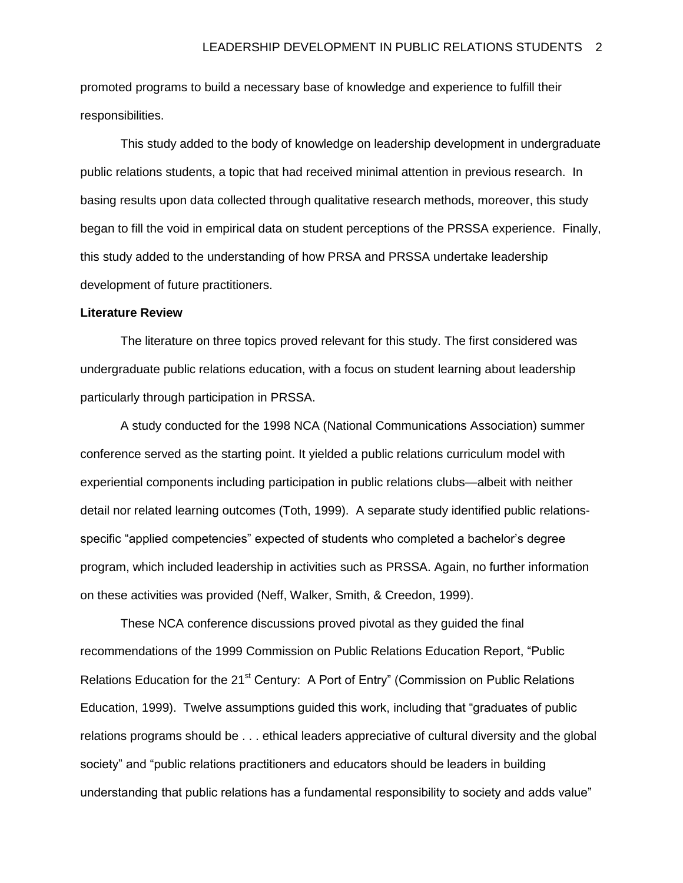promoted programs to build a necessary base of knowledge and experience to fulfill their responsibilities.

This study added to the body of knowledge on leadership development in undergraduate public relations students, a topic that had received minimal attention in previous research. In basing results upon data collected through qualitative research methods, moreover, this study began to fill the void in empirical data on student perceptions of the PRSSA experience. Finally, this study added to the understanding of how PRSA and PRSSA undertake leadership development of future practitioners.

#### **Literature Review**

The literature on three topics proved relevant for this study. The first considered was undergraduate public relations education, with a focus on student learning about leadership particularly through participation in PRSSA.

A study conducted for the 1998 NCA (National Communications Association) summer conference served as the starting point. It yielded a public relations curriculum model with experiential components including participation in public relations clubs—albeit with neither detail nor related learning outcomes (Toth, 1999). A separate study identified public relationsspecific "applied competencies" expected of students who completed a bachelor's degree program, which included leadership in activities such as PRSSA. Again, no further information on these activities was provided (Neff, Walker, Smith, & Creedon, 1999).

These NCA conference discussions proved pivotal as they guided the final recommendations of the 1999 Commission on Public Relations Education Report, "Public Relations Education for the 21<sup>st</sup> Century: A Port of Entry" (Commission on Public Relations Education, 1999). Twelve assumptions guided this work, including that "graduates of public relations programs should be . . . ethical leaders appreciative of cultural diversity and the global society" and "public relations practitioners and educators should be leaders in building understanding that public relations has a fundamental responsibility to society and adds value"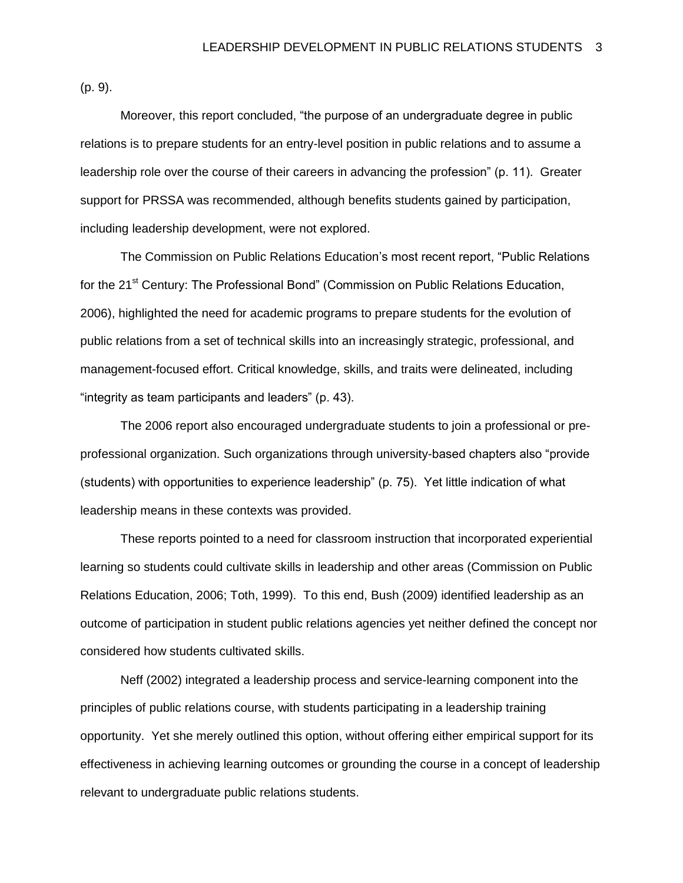(p. 9).

Moreover, this report concluded, "the purpose of an undergraduate degree in public relations is to prepare students for an entry-level position in public relations and to assume a leadership role over the course of their careers in advancing the profession" (p. 11). Greater support for PRSSA was recommended, although benefits students gained by participation, including leadership development, were not explored.

The Commission on Public Relations Education's most recent report, "Public Relations for the 21<sup>st</sup> Century: The Professional Bond" (Commission on Public Relations Education, 2006), highlighted the need for academic programs to prepare students for the evolution of public relations from a set of technical skills into an increasingly strategic, professional, and management-focused effort. Critical knowledge, skills, and traits were delineated, including "integrity as team participants and leaders" (p. 43).

The 2006 report also encouraged undergraduate students to join a professional or preprofessional organization. Such organizations through university-based chapters also "provide (students) with opportunities to experience leadership" (p. 75). Yet little indication of what leadership means in these contexts was provided.

These reports pointed to a need for classroom instruction that incorporated experiential learning so students could cultivate skills in leadership and other areas (Commission on Public Relations Education, 2006; Toth, 1999). To this end, Bush (2009) identified leadership as an outcome of participation in student public relations agencies yet neither defined the concept nor considered how students cultivated skills.

Neff (2002) integrated a leadership process and service-learning component into the principles of public relations course, with students participating in a leadership training opportunity. Yet she merely outlined this option, without offering either empirical support for its effectiveness in achieving learning outcomes or grounding the course in a concept of leadership relevant to undergraduate public relations students.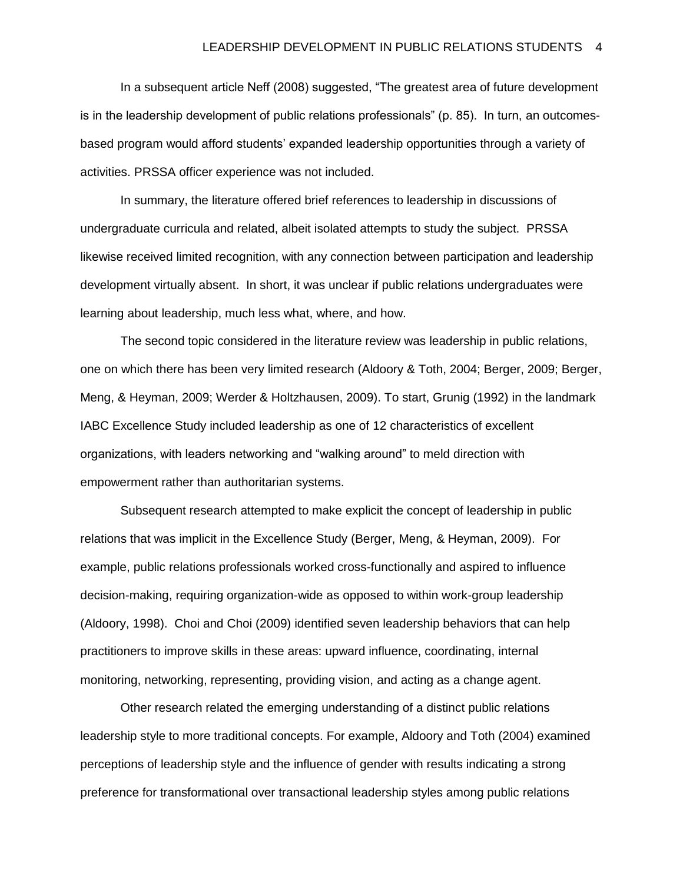In a subsequent article Neff (2008) suggested, "The greatest area of future development is in the leadership development of public relations professionals" (p. 85). In turn, an outcomesbased program would afford students' expanded leadership opportunities through a variety of activities. PRSSA officer experience was not included.

In summary, the literature offered brief references to leadership in discussions of undergraduate curricula and related, albeit isolated attempts to study the subject. PRSSA likewise received limited recognition, with any connection between participation and leadership development virtually absent. In short, it was unclear if public relations undergraduates were learning about leadership, much less what, where, and how.

The second topic considered in the literature review was leadership in public relations, one on which there has been very limited research (Aldoory & Toth, 2004; Berger, 2009; Berger, Meng, & Heyman, 2009; Werder & Holtzhausen, 2009). To start, Grunig (1992) in the landmark IABC Excellence Study included leadership as one of 12 characteristics of excellent organizations, with leaders networking and "walking around" to meld direction with empowerment rather than authoritarian systems.

Subsequent research attempted to make explicit the concept of leadership in public relations that was implicit in the Excellence Study (Berger, Meng, & Heyman, 2009). For example, public relations professionals worked cross-functionally and aspired to influence decision-making, requiring organization-wide as opposed to within work-group leadership (Aldoory, 1998). Choi and Choi (2009) identified seven leadership behaviors that can help practitioners to improve skills in these areas: upward influence, coordinating, internal monitoring, networking, representing, providing vision, and acting as a change agent.

Other research related the emerging understanding of a distinct public relations leadership style to more traditional concepts. For example, Aldoory and Toth (2004) examined perceptions of leadership style and the influence of gender with results indicating a strong preference for transformational over transactional leadership styles among public relations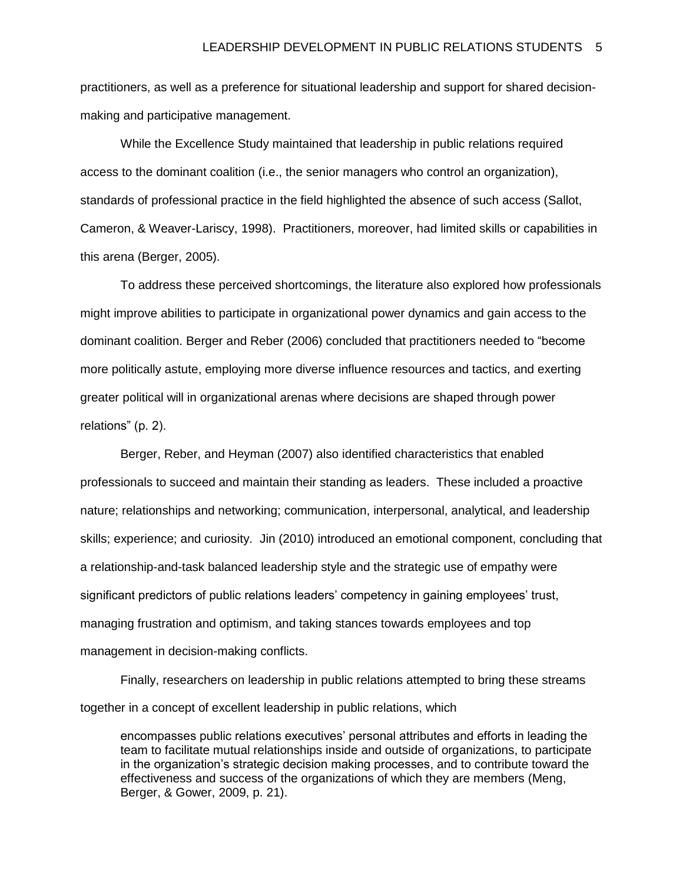practitioners, as well as a preference for situational leadership and support for shared decisionmaking and participative management.

While the Excellence Study maintained that leadership in public relations required access to the dominant coalition (i.e., the senior managers who control an organization), standards of professional practice in the field highlighted the absence of such access (Sallot, Cameron, & Weaver-Lariscy, 1998). Practitioners, moreover, had limited skills or capabilities in this arena (Berger, 2005).

To address these perceived shortcomings, the literature also explored how professionals might improve abilities to participate in organizational power dynamics and gain access to the dominant coalition. Berger and Reber (2006) concluded that practitioners needed to "become more politically astute, employing more diverse influence resources and tactics, and exerting greater political will in organizational arenas where decisions are shaped through power relations" (p. 2).

Berger, Reber, and Heyman (2007) also identified characteristics that enabled professionals to succeed and maintain their standing as leaders. These included a proactive nature; relationships and networking; communication, interpersonal, analytical, and leadership skills; experience; and curiosity. Jin (2010) introduced an emotional component, concluding that a relationship-and-task balanced leadership style and the strategic use of empathy were significant predictors of public relations leaders' competency in gaining employees' trust, managing frustration and optimism, and taking stances towards employees and top management in decision-making conflicts.

Finally, researchers on leadership in public relations attempted to bring these streams together in a concept of excellent leadership in public relations, which

encompasses public relations executives' personal attributes and efforts in leading the team to facilitate mutual relationships inside and outside of organizations, to participate in the organization's strategic decision making processes, and to contribute toward the effectiveness and success of the organizations of which they are members (Meng, Berger, & Gower, 2009, p. 21).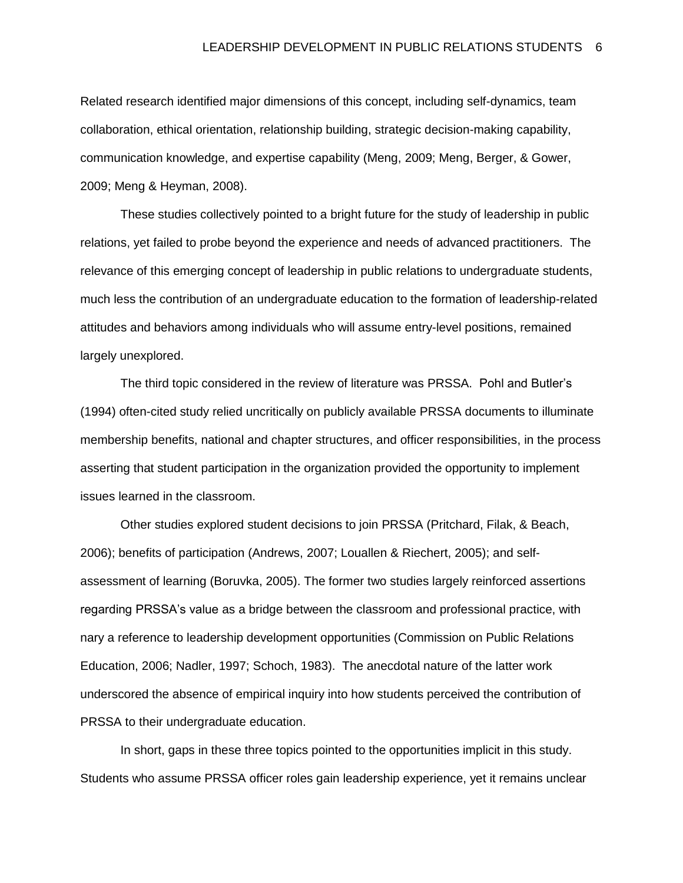Related research identified major dimensions of this concept, including self-dynamics, team collaboration, ethical orientation, relationship building, strategic decision-making capability, communication knowledge, and expertise capability (Meng, 2009; Meng, Berger, & Gower, 2009; Meng & Heyman, 2008).

These studies collectively pointed to a bright future for the study of leadership in public relations, yet failed to probe beyond the experience and needs of advanced practitioners. The relevance of this emerging concept of leadership in public relations to undergraduate students, much less the contribution of an undergraduate education to the formation of leadership-related attitudes and behaviors among individuals who will assume entry-level positions, remained largely unexplored.

The third topic considered in the review of literature was PRSSA. Pohl and Butler's (1994) often-cited study relied uncritically on publicly available PRSSA documents to illuminate membership benefits, national and chapter structures, and officer responsibilities, in the process asserting that student participation in the organization provided the opportunity to implement issues learned in the classroom.

Other studies explored student decisions to join PRSSA (Pritchard, Filak, & Beach, 2006); benefits of participation (Andrews, 2007; Louallen & Riechert, 2005); and selfassessment of learning (Boruvka, 2005). The former two studies largely reinforced assertions regarding PRSSA's value as a bridge between the classroom and professional practice, with nary a reference to leadership development opportunities (Commission on Public Relations Education, 2006; Nadler, 1997; Schoch, 1983). The anecdotal nature of the latter work underscored the absence of empirical inquiry into how students perceived the contribution of PRSSA to their undergraduate education.

In short, gaps in these three topics pointed to the opportunities implicit in this study. Students who assume PRSSA officer roles gain leadership experience, yet it remains unclear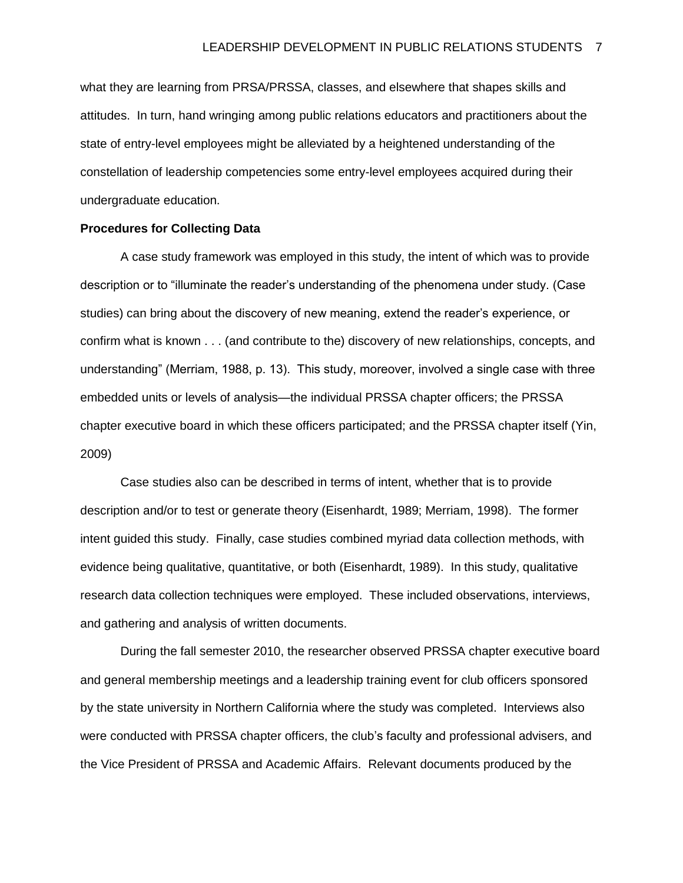what they are learning from PRSA/PRSSA, classes, and elsewhere that shapes skills and attitudes. In turn, hand wringing among public relations educators and practitioners about the state of entry-level employees might be alleviated by a heightened understanding of the constellation of leadership competencies some entry-level employees acquired during their undergraduate education.

#### **Procedures for Collecting Data**

A case study framework was employed in this study, the intent of which was to provide description or to "illuminate the reader's understanding of the phenomena under study. (Case studies) can bring about the discovery of new meaning, extend the reader's experience, or confirm what is known . . . (and contribute to the) discovery of new relationships, concepts, and understanding" (Merriam, 1988, p. 13). This study, moreover, involved a single case with three embedded units or levels of analysis—the individual PRSSA chapter officers; the PRSSA chapter executive board in which these officers participated; and the PRSSA chapter itself (Yin, 2009)

Case studies also can be described in terms of intent, whether that is to provide description and/or to test or generate theory (Eisenhardt, 1989; Merriam, 1998). The former intent guided this study. Finally, case studies combined myriad data collection methods, with evidence being qualitative, quantitative, or both (Eisenhardt, 1989). In this study, qualitative research data collection techniques were employed. These included observations, interviews, and gathering and analysis of written documents.

During the fall semester 2010, the researcher observed PRSSA chapter executive board and general membership meetings and a leadership training event for club officers sponsored by the state university in Northern California where the study was completed. Interviews also were conducted with PRSSA chapter officers, the club's faculty and professional advisers, and the Vice President of PRSSA and Academic Affairs. Relevant documents produced by the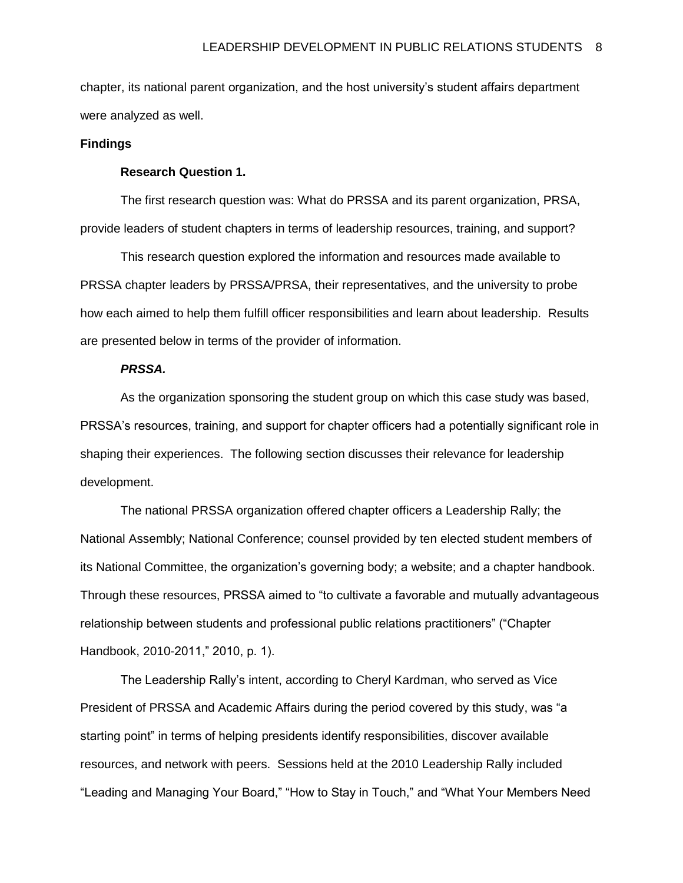chapter, its national parent organization, and the host university's student affairs department were analyzed as well.

#### **Findings**

# **Research Question 1.**

The first research question was: What do PRSSA and its parent organization, PRSA, provide leaders of student chapters in terms of leadership resources, training, and support?

This research question explored the information and resources made available to PRSSA chapter leaders by PRSSA/PRSA, their representatives, and the university to probe how each aimed to help them fulfill officer responsibilities and learn about leadership. Results are presented below in terms of the provider of information.

## *PRSSA.*

As the organization sponsoring the student group on which this case study was based, PRSSA's resources, training, and support for chapter officers had a potentially significant role in shaping their experiences. The following section discusses their relevance for leadership development.

The national PRSSA organization offered chapter officers a Leadership Rally; the National Assembly; National Conference; counsel provided by ten elected student members of its National Committee, the organization's governing body; a website; and a chapter handbook. Through these resources, PRSSA aimed to "to cultivate a favorable and mutually advantageous relationship between students and professional public relations practitioners" ("Chapter Handbook, 2010-2011," 2010, p. 1).

The Leadership Rally's intent, according to Cheryl Kardman, who served as Vice President of PRSSA and Academic Affairs during the period covered by this study, was "a starting point" in terms of helping presidents identify responsibilities, discover available resources, and network with peers. Sessions held at the 2010 Leadership Rally included "Leading and Managing Your Board," "How to Stay in Touch," and "What Your Members Need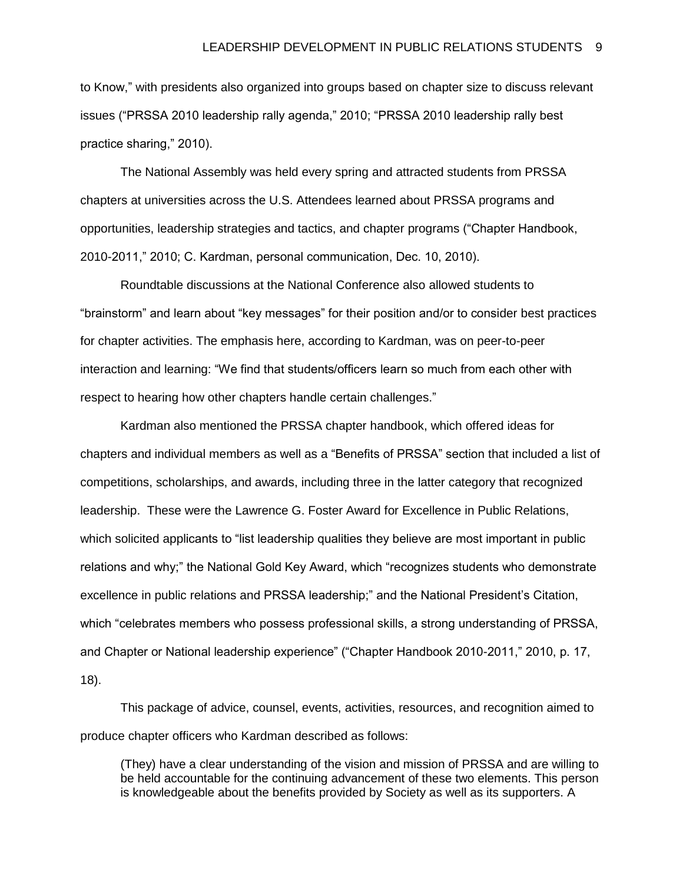to Know," with presidents also organized into groups based on chapter size to discuss relevant issues ("PRSSA 2010 leadership rally agenda," 2010; "PRSSA 2010 leadership rally best practice sharing," 2010).

The National Assembly was held every spring and attracted students from PRSSA chapters at universities across the U.S. Attendees learned about PRSSA programs and opportunities, leadership strategies and tactics, and chapter programs ("Chapter Handbook, 2010-2011," 2010; C. Kardman, personal communication, Dec. 10, 2010).

Roundtable discussions at the National Conference also allowed students to "brainstorm" and learn about "key messages" for their position and/or to consider best practices for chapter activities. The emphasis here, according to Kardman, was on peer-to-peer interaction and learning: "We find that students/officers learn so much from each other with respect to hearing how other chapters handle certain challenges."

Kardman also mentioned the PRSSA chapter handbook, which offered ideas for chapters and individual members as well as a "Benefits of PRSSA" section that included a list of competitions, scholarships, and awards, including three in the latter category that recognized leadership. These were the Lawrence G. Foster Award for Excellence in Public Relations, which solicited applicants to "list leadership qualities they believe are most important in public relations and why;" the National Gold Key Award, which "recognizes students who demonstrate excellence in public relations and PRSSA leadership;" and the National President's Citation, which "celebrates members who possess professional skills, a strong understanding of PRSSA, and Chapter or National leadership experience" ("Chapter Handbook 2010-2011," 2010, p. 17, 18).

This package of advice, counsel, events, activities, resources, and recognition aimed to produce chapter officers who Kardman described as follows:

(They) have a clear understanding of the vision and mission of PRSSA and are willing to be held accountable for the continuing advancement of these two elements. This person is knowledgeable about the benefits provided by Society as well as its supporters. A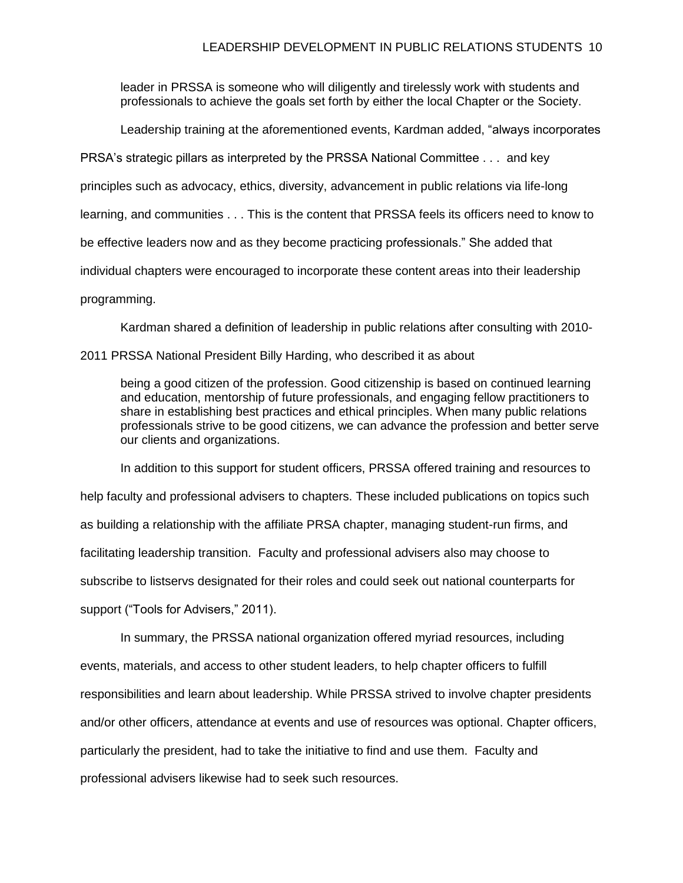leader in PRSSA is someone who will diligently and tirelessly work with students and professionals to achieve the goals set forth by either the local Chapter or the Society.

Leadership training at the aforementioned events, Kardman added, "always incorporates

PRSA's strategic pillars as interpreted by the PRSSA National Committee . . . and key

principles such as advocacy, ethics, diversity, advancement in public relations via life-long

learning, and communities . . . This is the content that PRSSA feels its officers need to know to

be effective leaders now and as they become practicing professionals." She added that

individual chapters were encouraged to incorporate these content areas into their leadership

programming.

Kardman shared a definition of leadership in public relations after consulting with 2010-

2011 PRSSA National President Billy Harding, who described it as about

being a good citizen of the profession. Good citizenship is based on continued learning and education, mentorship of future professionals, and engaging fellow practitioners to share in establishing best practices and ethical principles. When many public relations professionals strive to be good citizens, we can advance the profession and better serve our clients and organizations.

In addition to this support for student officers, PRSSA offered training and resources to

help faculty and professional advisers to chapters. These included publications on topics such

as building a relationship with the affiliate PRSA chapter, managing student-run firms, and

facilitating leadership transition. Faculty and professional advisers also may choose to

subscribe to listservs designated for their roles and could seek out national counterparts for

support ("Tools for Advisers," 2011).

In summary, the PRSSA national organization offered myriad resources, including events, materials, and access to other student leaders, to help chapter officers to fulfill responsibilities and learn about leadership. While PRSSA strived to involve chapter presidents and/or other officers, attendance at events and use of resources was optional. Chapter officers, particularly the president, had to take the initiative to find and use them. Faculty and professional advisers likewise had to seek such resources.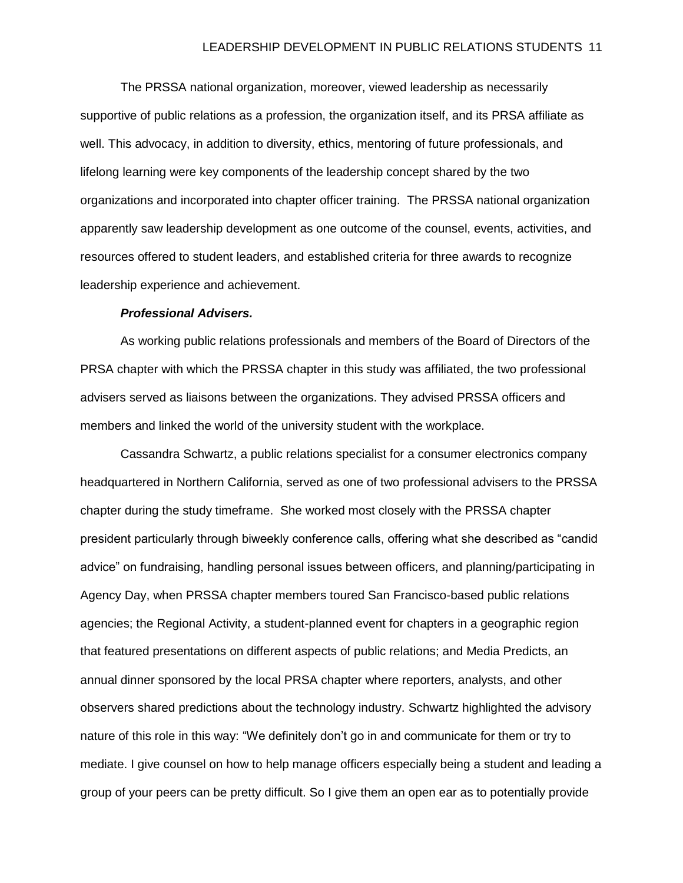The PRSSA national organization, moreover, viewed leadership as necessarily supportive of public relations as a profession, the organization itself, and its PRSA affiliate as well. This advocacy, in addition to diversity, ethics, mentoring of future professionals, and lifelong learning were key components of the leadership concept shared by the two organizations and incorporated into chapter officer training. The PRSSA national organization apparently saw leadership development as one outcome of the counsel, events, activities, and resources offered to student leaders, and established criteria for three awards to recognize leadership experience and achievement.

# *Professional Advisers.*

As working public relations professionals and members of the Board of Directors of the PRSA chapter with which the PRSSA chapter in this study was affiliated, the two professional advisers served as liaisons between the organizations. They advised PRSSA officers and members and linked the world of the university student with the workplace.

Cassandra Schwartz, a public relations specialist for a consumer electronics company headquartered in Northern California, served as one of two professional advisers to the PRSSA chapter during the study timeframe. She worked most closely with the PRSSA chapter president particularly through biweekly conference calls, offering what she described as "candid advice" on fundraising, handling personal issues between officers, and planning/participating in Agency Day, when PRSSA chapter members toured San Francisco-based public relations agencies; the Regional Activity, a student-planned event for chapters in a geographic region that featured presentations on different aspects of public relations; and Media Predicts, an annual dinner sponsored by the local PRSA chapter where reporters, analysts, and other observers shared predictions about the technology industry. Schwartz highlighted the advisory nature of this role in this way: "We definitely don't go in and communicate for them or try to mediate. I give counsel on how to help manage officers especially being a student and leading a group of your peers can be pretty difficult. So I give them an open ear as to potentially provide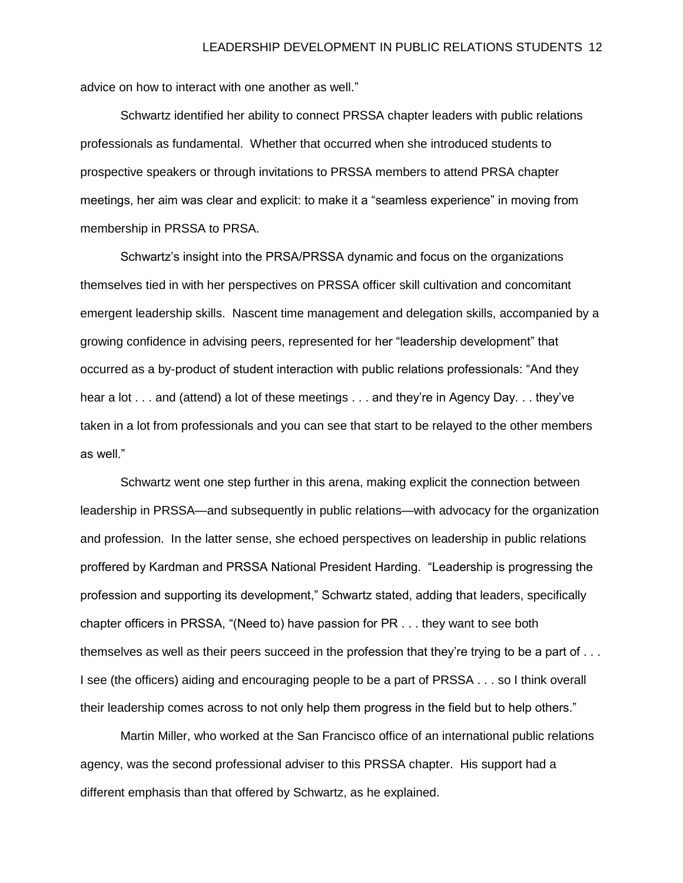advice on how to interact with one another as well."

Schwartz identified her ability to connect PRSSA chapter leaders with public relations professionals as fundamental. Whether that occurred when she introduced students to prospective speakers or through invitations to PRSSA members to attend PRSA chapter meetings, her aim was clear and explicit: to make it a "seamless experience" in moving from membership in PRSSA to PRSA.

Schwartz's insight into the PRSA/PRSSA dynamic and focus on the organizations themselves tied in with her perspectives on PRSSA officer skill cultivation and concomitant emergent leadership skills. Nascent time management and delegation skills, accompanied by a growing confidence in advising peers, represented for her "leadership development" that occurred as a by-product of student interaction with public relations professionals: "And they hear a lot . . . and (attend) a lot of these meetings . . . and they're in Agency Day. . . they've taken in a lot from professionals and you can see that start to be relayed to the other members as well."

Schwartz went one step further in this arena, making explicit the connection between leadership in PRSSA—and subsequently in public relations—with advocacy for the organization and profession. In the latter sense, she echoed perspectives on leadership in public relations proffered by Kardman and PRSSA National President Harding. "Leadership is progressing the profession and supporting its development," Schwartz stated, adding that leaders, specifically chapter officers in PRSSA, "(Need to) have passion for PR . . . they want to see both themselves as well as their peers succeed in the profession that they're trying to be a part of . . . I see (the officers) aiding and encouraging people to be a part of PRSSA . . . so I think overall their leadership comes across to not only help them progress in the field but to help others."

Martin Miller, who worked at the San Francisco office of an international public relations agency, was the second professional adviser to this PRSSA chapter. His support had a different emphasis than that offered by Schwartz, as he explained.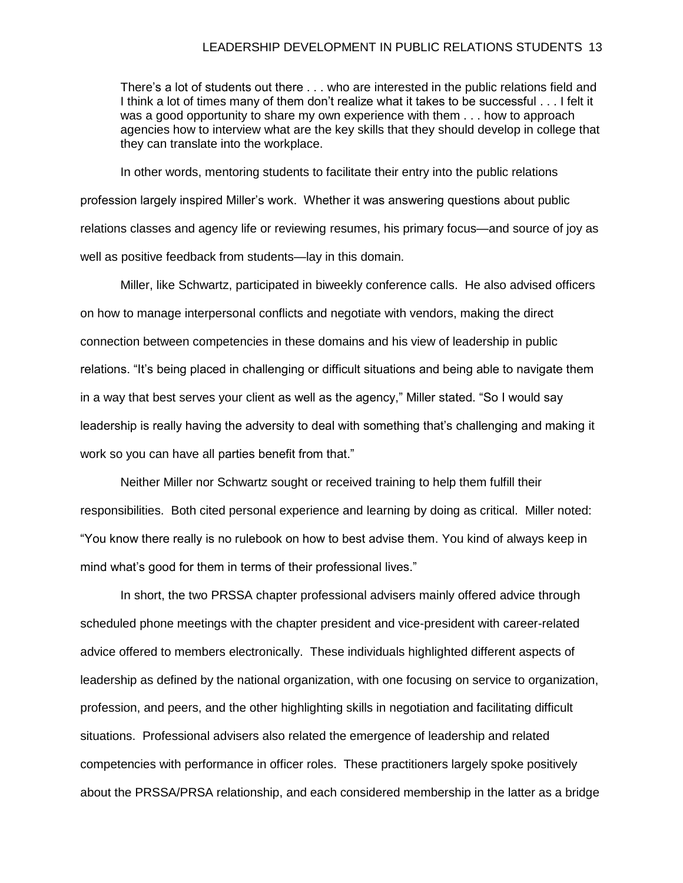#### LEADERSHIP DEVELOPMENT IN PUBLIC RELATIONS STUDENTS 13

There's a lot of students out there . . . who are interested in the public relations field and I think a lot of times many of them don't realize what it takes to be successful . . . I felt it was a good opportunity to share my own experience with them . . . how to approach agencies how to interview what are the key skills that they should develop in college that they can translate into the workplace.

In other words, mentoring students to facilitate their entry into the public relations profession largely inspired Miller's work. Whether it was answering questions about public relations classes and agency life or reviewing resumes, his primary focus—and source of joy as well as positive feedback from students—lay in this domain.

Miller, like Schwartz, participated in biweekly conference calls. He also advised officers on how to manage interpersonal conflicts and negotiate with vendors, making the direct connection between competencies in these domains and his view of leadership in public relations. "It's being placed in challenging or difficult situations and being able to navigate them in a way that best serves your client as well as the agency," Miller stated. "So I would say leadership is really having the adversity to deal with something that's challenging and making it work so you can have all parties benefit from that."

Neither Miller nor Schwartz sought or received training to help them fulfill their responsibilities. Both cited personal experience and learning by doing as critical. Miller noted: "You know there really is no rulebook on how to best advise them. You kind of always keep in mind what's good for them in terms of their professional lives."

In short, the two PRSSA chapter professional advisers mainly offered advice through scheduled phone meetings with the chapter president and vice-president with career-related advice offered to members electronically. These individuals highlighted different aspects of leadership as defined by the national organization, with one focusing on service to organization, profession, and peers, and the other highlighting skills in negotiation and facilitating difficult situations. Professional advisers also related the emergence of leadership and related competencies with performance in officer roles. These practitioners largely spoke positively about the PRSSA/PRSA relationship, and each considered membership in the latter as a bridge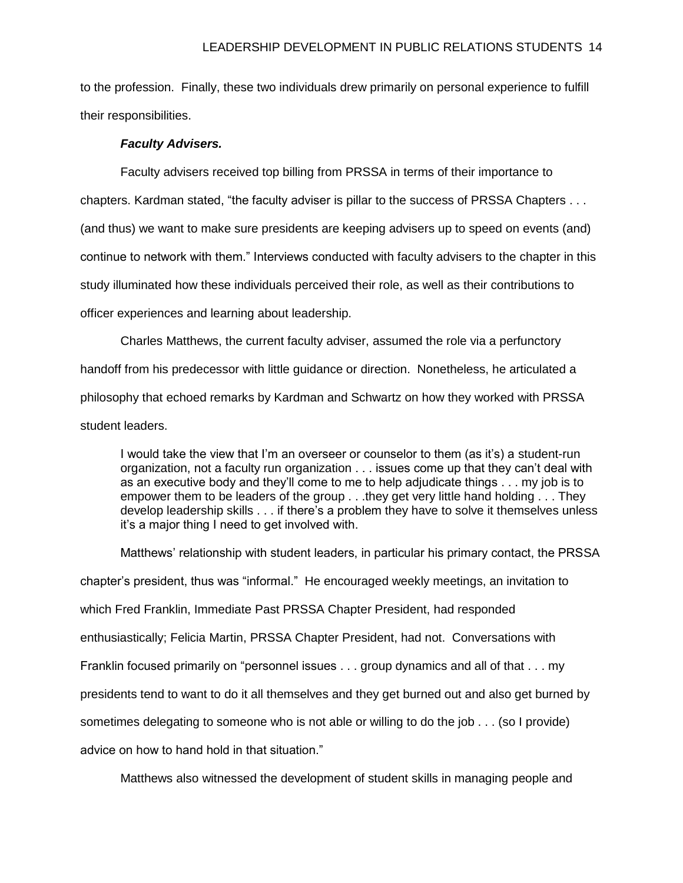to the profession. Finally, these two individuals drew primarily on personal experience to fulfill their responsibilities.

# *Faculty Advisers.*

Faculty advisers received top billing from PRSSA in terms of their importance to chapters. Kardman stated, "the faculty adviser is pillar to the success of PRSSA Chapters . . . (and thus) we want to make sure presidents are keeping advisers up to speed on events (and) continue to network with them." Interviews conducted with faculty advisers to the chapter in this study illuminated how these individuals perceived their role, as well as their contributions to officer experiences and learning about leadership.

Charles Matthews, the current faculty adviser, assumed the role via a perfunctory handoff from his predecessor with little guidance or direction. Nonetheless, he articulated a philosophy that echoed remarks by Kardman and Schwartz on how they worked with PRSSA student leaders.

I would take the view that I'm an overseer or counselor to them (as it's) a student-run organization, not a faculty run organization . . . issues come up that they can't deal with as an executive body and they'll come to me to help adjudicate things . . . my job is to empower them to be leaders of the group . . .they get very little hand holding . . . They develop leadership skills . . . if there's a problem they have to solve it themselves unless it's a major thing I need to get involved with.

Matthews' relationship with student leaders, in particular his primary contact, the PRSSA chapter's president, thus was "informal." He encouraged weekly meetings, an invitation to which Fred Franklin, Immediate Past PRSSA Chapter President, had responded enthusiastically; Felicia Martin, PRSSA Chapter President, had not. Conversations with Franklin focused primarily on "personnel issues . . . group dynamics and all of that . . . my presidents tend to want to do it all themselves and they get burned out and also get burned by sometimes delegating to someone who is not able or willing to do the job . . . (so I provide) advice on how to hand hold in that situation."

Matthews also witnessed the development of student skills in managing people and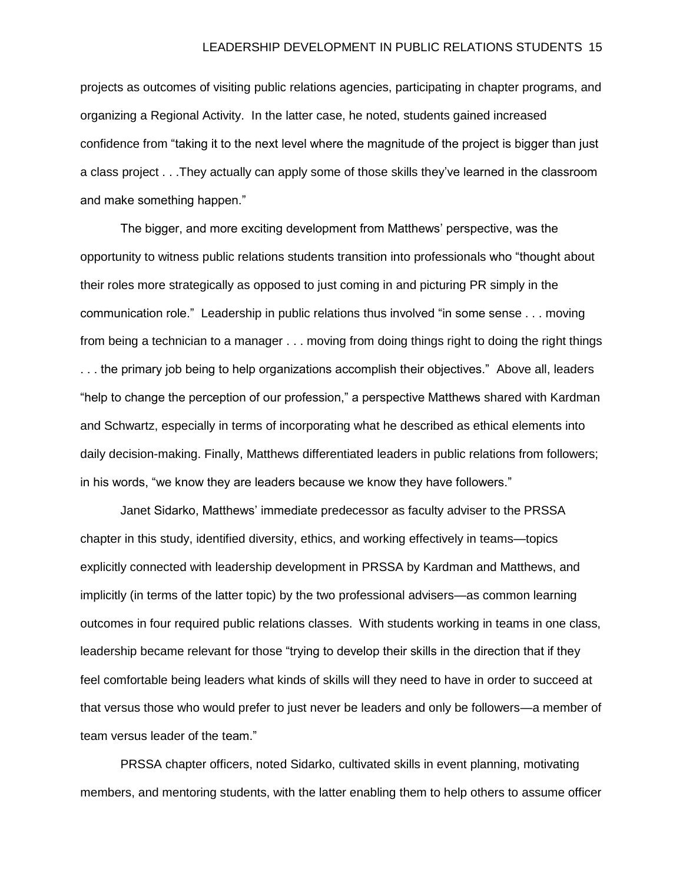projects as outcomes of visiting public relations agencies, participating in chapter programs, and organizing a Regional Activity. In the latter case, he noted, students gained increased confidence from "taking it to the next level where the magnitude of the project is bigger than just a class project . . .They actually can apply some of those skills they've learned in the classroom and make something happen."

The bigger, and more exciting development from Matthews' perspective, was the opportunity to witness public relations students transition into professionals who "thought about their roles more strategically as opposed to just coming in and picturing PR simply in the communication role." Leadership in public relations thus involved "in some sense . . . moving from being a technician to a manager . . . moving from doing things right to doing the right things . . . the primary job being to help organizations accomplish their objectives." Above all, leaders "help to change the perception of our profession," a perspective Matthews shared with Kardman and Schwartz, especially in terms of incorporating what he described as ethical elements into daily decision-making. Finally, Matthews differentiated leaders in public relations from followers; in his words, "we know they are leaders because we know they have followers."

Janet Sidarko, Matthews' immediate predecessor as faculty adviser to the PRSSA chapter in this study, identified diversity, ethics, and working effectively in teams—topics explicitly connected with leadership development in PRSSA by Kardman and Matthews, and implicitly (in terms of the latter topic) by the two professional advisers—as common learning outcomes in four required public relations classes. With students working in teams in one class, leadership became relevant for those "trying to develop their skills in the direction that if they feel comfortable being leaders what kinds of skills will they need to have in order to succeed at that versus those who would prefer to just never be leaders and only be followers—a member of team versus leader of the team."

PRSSA chapter officers, noted Sidarko, cultivated skills in event planning, motivating members, and mentoring students, with the latter enabling them to help others to assume officer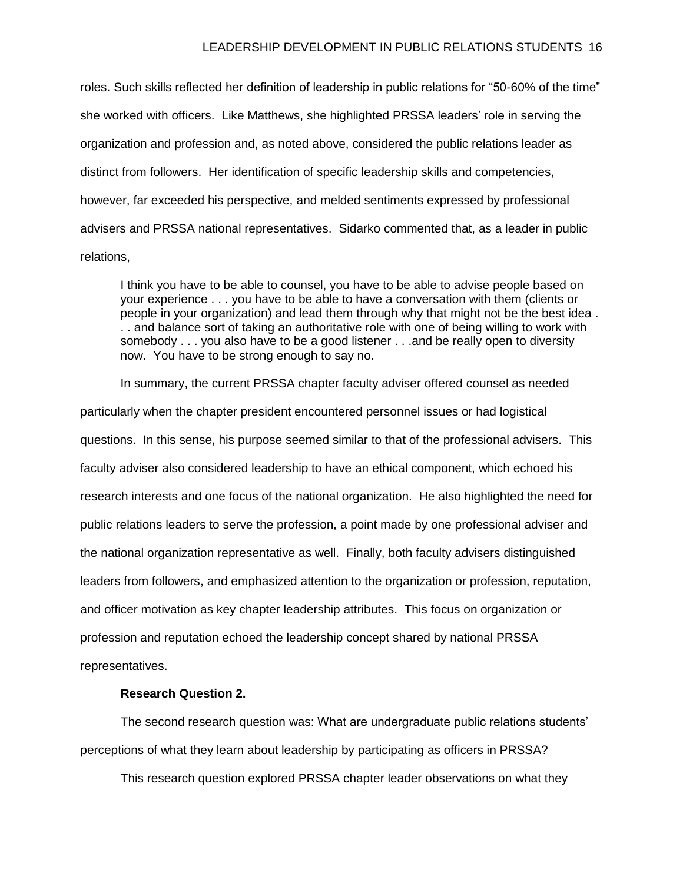#### LEADERSHIP DEVELOPMENT IN PUBLIC RELATIONS STUDENTS 16

roles. Such skills reflected her definition of leadership in public relations for "50-60% of the time" she worked with officers. Like Matthews, she highlighted PRSSA leaders' role in serving the organization and profession and, as noted above, considered the public relations leader as distinct from followers. Her identification of specific leadership skills and competencies, however, far exceeded his perspective, and melded sentiments expressed by professional advisers and PRSSA national representatives. Sidarko commented that, as a leader in public relations,

I think you have to be able to counsel, you have to be able to advise people based on your experience . . . you have to be able to have a conversation with them (clients or people in your organization) and lead them through why that might not be the best idea . . . and balance sort of taking an authoritative role with one of being willing to work with somebody . . . you also have to be a good listener . . .and be really open to diversity now. You have to be strong enough to say no.

In summary, the current PRSSA chapter faculty adviser offered counsel as needed particularly when the chapter president encountered personnel issues or had logistical questions. In this sense, his purpose seemed similar to that of the professional advisers. This faculty adviser also considered leadership to have an ethical component, which echoed his research interests and one focus of the national organization. He also highlighted the need for public relations leaders to serve the profession, a point made by one professional adviser and the national organization representative as well. Finally, both faculty advisers distinguished leaders from followers, and emphasized attention to the organization or profession, reputation, and officer motivation as key chapter leadership attributes. This focus on organization or profession and reputation echoed the leadership concept shared by national PRSSA representatives.

# **Research Question 2.**

The second research question was: What are undergraduate public relations students' perceptions of what they learn about leadership by participating as officers in PRSSA?

This research question explored PRSSA chapter leader observations on what they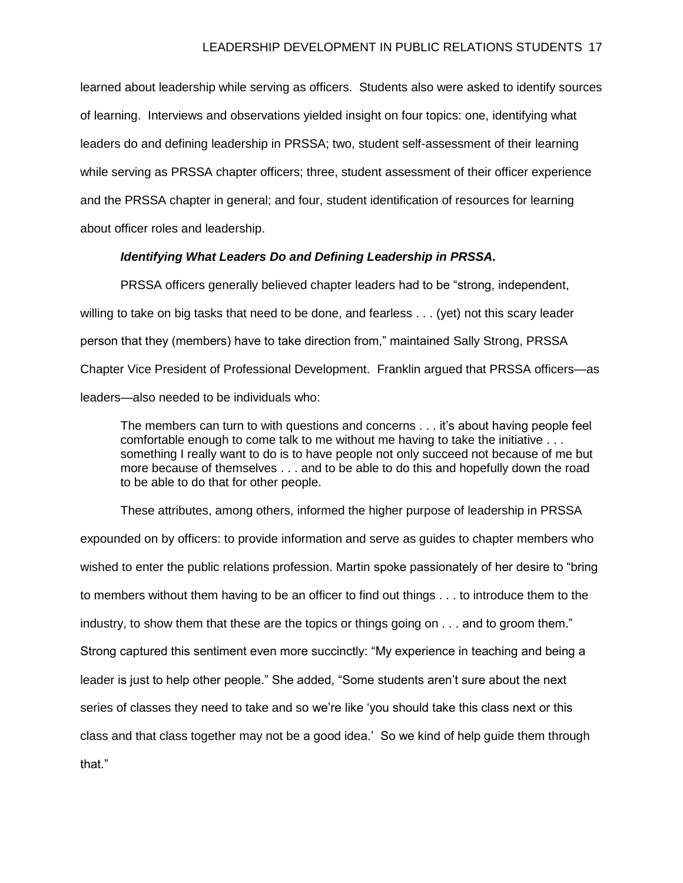learned about leadership while serving as officers. Students also were asked to identify sources of learning. Interviews and observations yielded insight on four topics: one, identifying what leaders do and defining leadership in PRSSA; two, student self-assessment of their learning while serving as PRSSA chapter officers; three, student assessment of their officer experience and the PRSSA chapter in general; and four, student identification of resources for learning about officer roles and leadership.

# *Identifying What Leaders Do and Defining Leadership in PRSSA.*

PRSSA officers generally believed chapter leaders had to be "strong, independent, willing to take on big tasks that need to be done, and fearless . . . (yet) not this scary leader person that they (members) have to take direction from," maintained Sally Strong, PRSSA Chapter Vice President of Professional Development. Franklin argued that PRSSA officers—as leaders—also needed to be individuals who:

The members can turn to with questions and concerns . . . it's about having people feel comfortable enough to come talk to me without me having to take the initiative . . . something I really want to do is to have people not only succeed not because of me but more because of themselves . . . and to be able to do this and hopefully down the road to be able to do that for other people.

These attributes, among others, informed the higher purpose of leadership in PRSSA expounded on by officers: to provide information and serve as guides to chapter members who wished to enter the public relations profession. Martin spoke passionately of her desire to "bring to members without them having to be an officer to find out things . . . to introduce them to the industry, to show them that these are the topics or things going on . . . and to groom them." Strong captured this sentiment even more succinctly: "My experience in teaching and being a leader is just to help other people." She added, "Some students aren't sure about the next series of classes they need to take and so we're like 'you should take this class next or this class and that class together may not be a good idea.' So we kind of help guide them through that."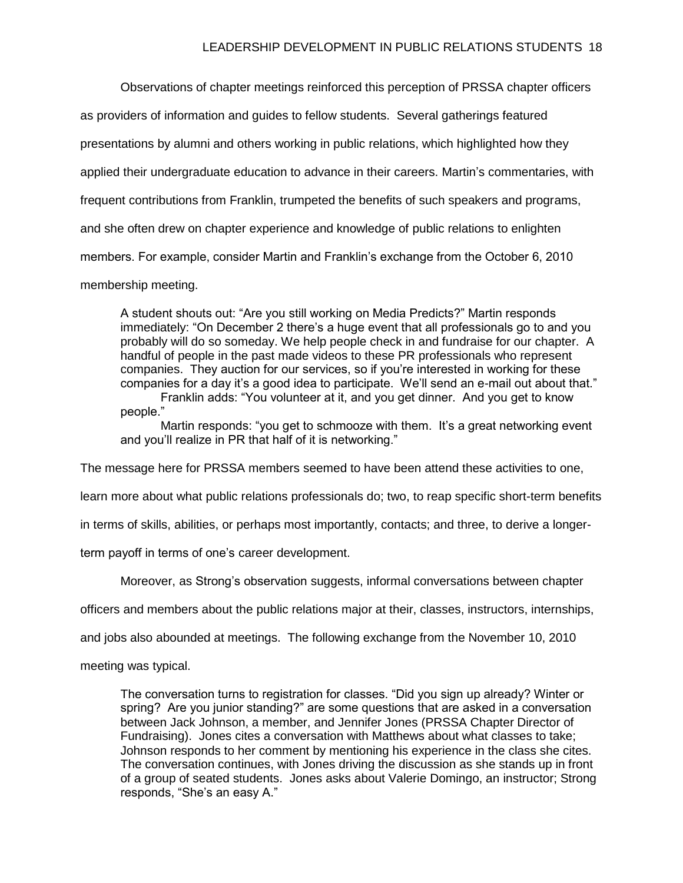Observations of chapter meetings reinforced this perception of PRSSA chapter officers

as providers of information and guides to fellow students. Several gatherings featured

presentations by alumni and others working in public relations, which highlighted how they

applied their undergraduate education to advance in their careers. Martin's commentaries, with

frequent contributions from Franklin, trumpeted the benefits of such speakers and programs,

and she often drew on chapter experience and knowledge of public relations to enlighten

members. For example, consider Martin and Franklin's exchange from the October 6, 2010

membership meeting.

A student shouts out: "Are you still working on Media Predicts?" Martin responds immediately: "On December 2 there's a huge event that all professionals go to and you probably will do so someday. We help people check in and fundraise for our chapter. A handful of people in the past made videos to these PR professionals who represent companies. They auction for our services, so if you're interested in working for these companies for a day it's a good idea to participate. We'll send an e-mail out about that."

Franklin adds: "You volunteer at it, and you get dinner. And you get to know people."

Martin responds: "you get to schmooze with them. It's a great networking event and you'll realize in PR that half of it is networking."

The message here for PRSSA members seemed to have been attend these activities to one,

learn more about what public relations professionals do; two, to reap specific short-term benefits

in terms of skills, abilities, or perhaps most importantly, contacts; and three, to derive a longer-

term payoff in terms of one's career development.

Moreover, as Strong's observation suggests, informal conversations between chapter

officers and members about the public relations major at their, classes, instructors, internships,

and jobs also abounded at meetings. The following exchange from the November 10, 2010

meeting was typical.

The conversation turns to registration for classes. "Did you sign up already? Winter or spring? Are you junior standing?" are some questions that are asked in a conversation between Jack Johnson, a member, and Jennifer Jones (PRSSA Chapter Director of Fundraising). Jones cites a conversation with Matthews about what classes to take; Johnson responds to her comment by mentioning his experience in the class she cites. The conversation continues, with Jones driving the discussion as she stands up in front of a group of seated students. Jones asks about Valerie Domingo, an instructor; Strong responds, "She's an easy A."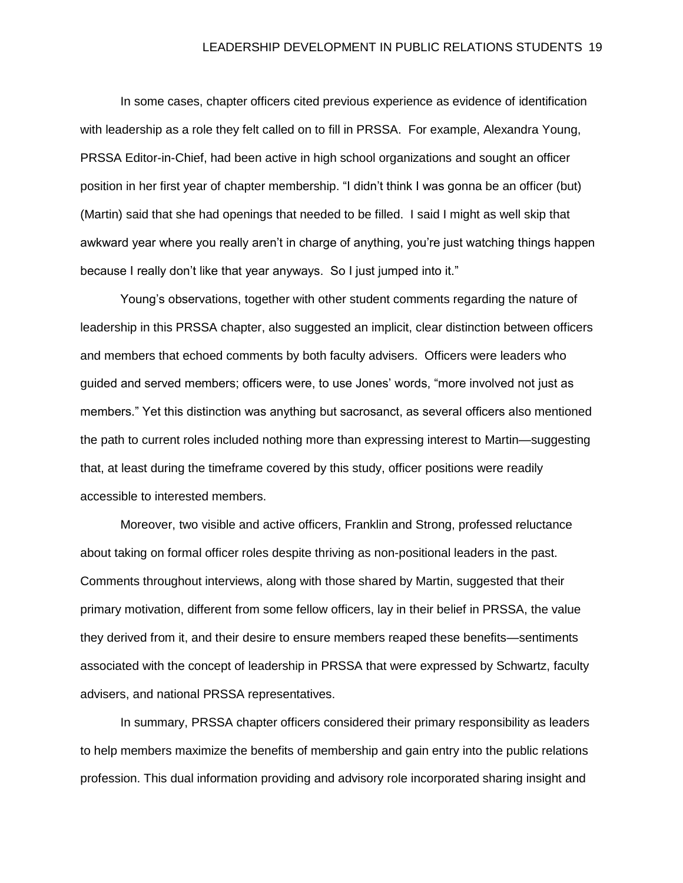In some cases, chapter officers cited previous experience as evidence of identification with leadership as a role they felt called on to fill in PRSSA. For example, Alexandra Young, PRSSA Editor-in-Chief, had been active in high school organizations and sought an officer position in her first year of chapter membership. "I didn't think I was gonna be an officer (but) (Martin) said that she had openings that needed to be filled. I said I might as well skip that awkward year where you really aren't in charge of anything, you're just watching things happen because I really don't like that year anyways. So I just jumped into it."

Young's observations, together with other student comments regarding the nature of leadership in this PRSSA chapter, also suggested an implicit, clear distinction between officers and members that echoed comments by both faculty advisers. Officers were leaders who guided and served members; officers were, to use Jones' words, "more involved not just as members." Yet this distinction was anything but sacrosanct, as several officers also mentioned the path to current roles included nothing more than expressing interest to Martin—suggesting that, at least during the timeframe covered by this study, officer positions were readily accessible to interested members.

Moreover, two visible and active officers, Franklin and Strong, professed reluctance about taking on formal officer roles despite thriving as non-positional leaders in the past. Comments throughout interviews, along with those shared by Martin, suggested that their primary motivation, different from some fellow officers, lay in their belief in PRSSA, the value they derived from it, and their desire to ensure members reaped these benefits—sentiments associated with the concept of leadership in PRSSA that were expressed by Schwartz, faculty advisers, and national PRSSA representatives.

In summary, PRSSA chapter officers considered their primary responsibility as leaders to help members maximize the benefits of membership and gain entry into the public relations profession. This dual information providing and advisory role incorporated sharing insight and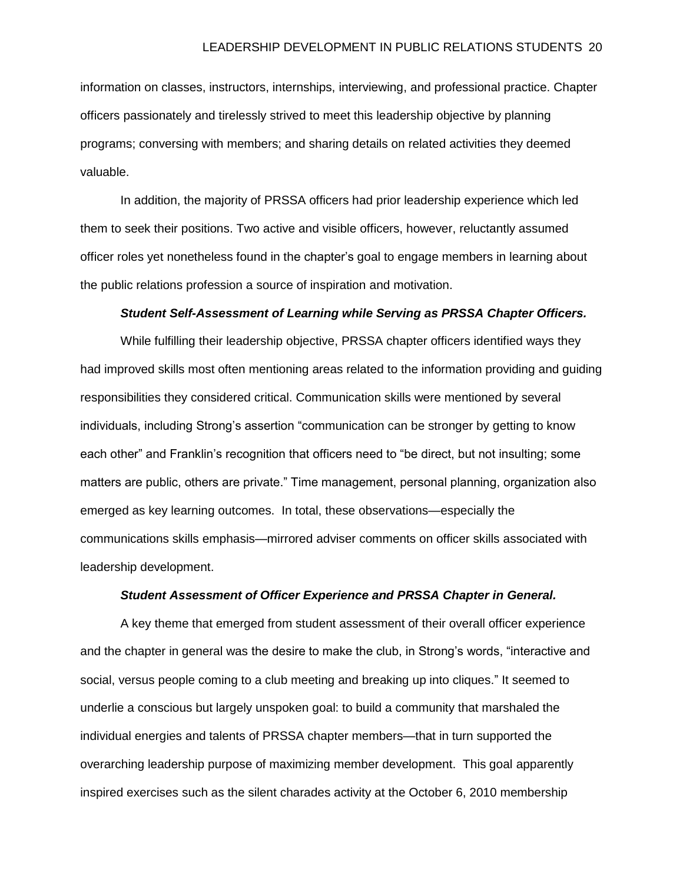information on classes, instructors, internships, interviewing, and professional practice. Chapter officers passionately and tirelessly strived to meet this leadership objective by planning programs; conversing with members; and sharing details on related activities they deemed valuable.

In addition, the majority of PRSSA officers had prior leadership experience which led them to seek their positions. Two active and visible officers, however, reluctantly assumed officer roles yet nonetheless found in the chapter's goal to engage members in learning about the public relations profession a source of inspiration and motivation.

# *Student Self-Assessment of Learning while Serving as PRSSA Chapter Officers.*

While fulfilling their leadership objective, PRSSA chapter officers identified ways they had improved skills most often mentioning areas related to the information providing and guiding responsibilities they considered critical. Communication skills were mentioned by several individuals, including Strong's assertion "communication can be stronger by getting to know each other" and Franklin's recognition that officers need to "be direct, but not insulting; some matters are public, others are private." Time management, personal planning, organization also emerged as key learning outcomes. In total, these observations—especially the communications skills emphasis—mirrored adviser comments on officer skills associated with leadership development.

# *Student Assessment of Officer Experience and PRSSA Chapter in General.*

A key theme that emerged from student assessment of their overall officer experience and the chapter in general was the desire to make the club, in Strong's words, "interactive and social, versus people coming to a club meeting and breaking up into cliques." It seemed to underlie a conscious but largely unspoken goal: to build a community that marshaled the individual energies and talents of PRSSA chapter members—that in turn supported the overarching leadership purpose of maximizing member development. This goal apparently inspired exercises such as the silent charades activity at the October 6, 2010 membership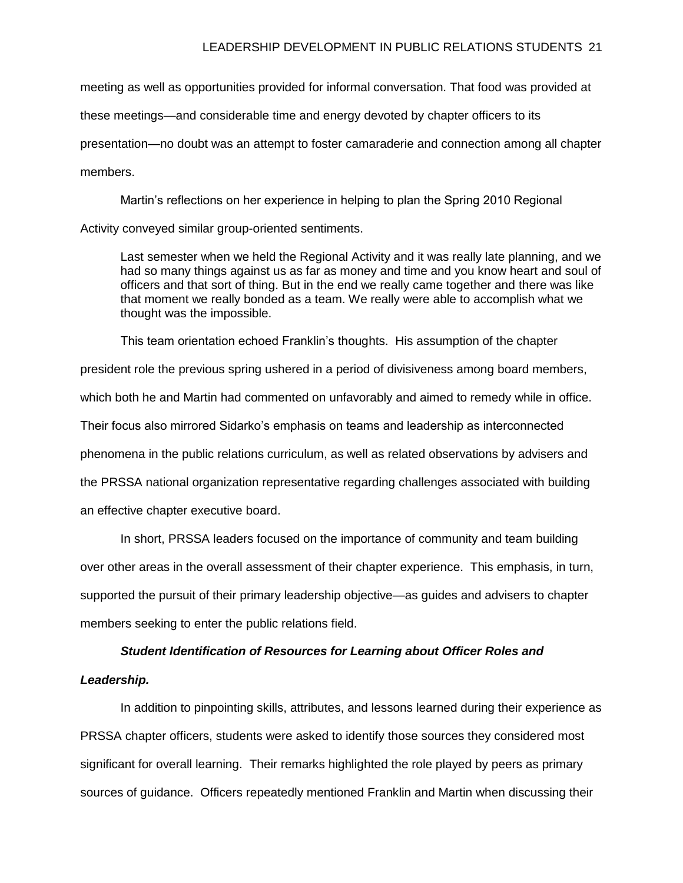meeting as well as opportunities provided for informal conversation. That food was provided at these meetings—and considerable time and energy devoted by chapter officers to its presentation—no doubt was an attempt to foster camaraderie and connection among all chapter members.

Martin's reflections on her experience in helping to plan the Spring 2010 Regional Activity conveyed similar group-oriented sentiments.

Last semester when we held the Regional Activity and it was really late planning, and we had so many things against us as far as money and time and you know heart and soul of officers and that sort of thing. But in the end we really came together and there was like that moment we really bonded as a team. We really were able to accomplish what we thought was the impossible.

This team orientation echoed Franklin's thoughts. His assumption of the chapter president role the previous spring ushered in a period of divisiveness among board members, which both he and Martin had commented on unfavorably and aimed to remedy while in office. Their focus also mirrored Sidarko's emphasis on teams and leadership as interconnected phenomena in the public relations curriculum, as well as related observations by advisers and the PRSSA national organization representative regarding challenges associated with building an effective chapter executive board.

In short, PRSSA leaders focused on the importance of community and team building over other areas in the overall assessment of their chapter experience. This emphasis, in turn, supported the pursuit of their primary leadership objective—as guides and advisers to chapter members seeking to enter the public relations field.

# *Student Identification of Resources for Learning about Officer Roles and*

#### *Leadership.*

In addition to pinpointing skills, attributes, and lessons learned during their experience as PRSSA chapter officers, students were asked to identify those sources they considered most significant for overall learning. Their remarks highlighted the role played by peers as primary sources of guidance. Officers repeatedly mentioned Franklin and Martin when discussing their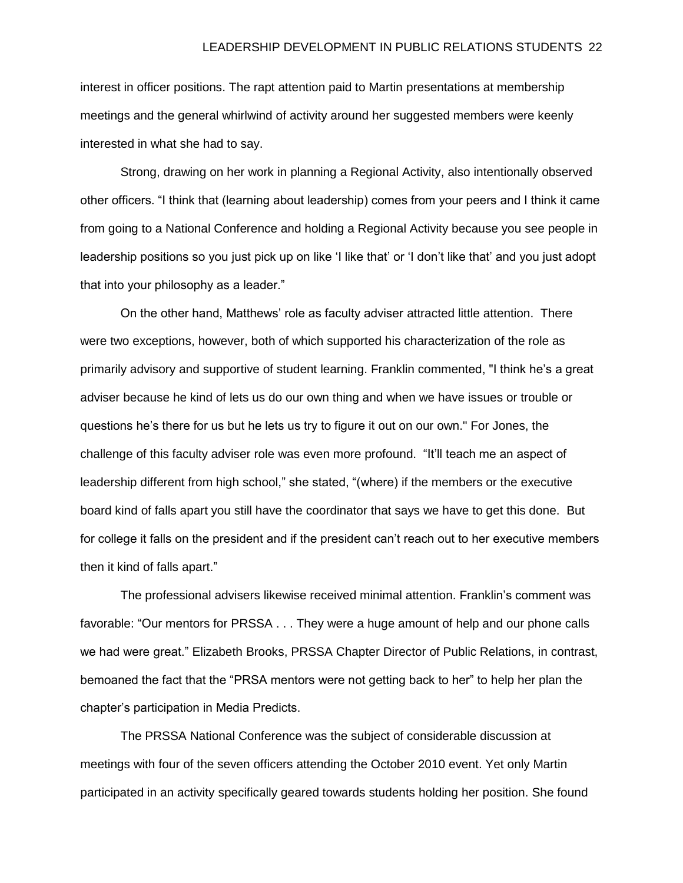interest in officer positions. The rapt attention paid to Martin presentations at membership meetings and the general whirlwind of activity around her suggested members were keenly interested in what she had to say.

Strong, drawing on her work in planning a Regional Activity, also intentionally observed other officers. "I think that (learning about leadership) comes from your peers and I think it came from going to a National Conference and holding a Regional Activity because you see people in leadership positions so you just pick up on like 'I like that' or 'I don't like that' and you just adopt that into your philosophy as a leader."

On the other hand, Matthews' role as faculty adviser attracted little attention. There were two exceptions, however, both of which supported his characterization of the role as primarily advisory and supportive of student learning. Franklin commented, "I think he's a great adviser because he kind of lets us do our own thing and when we have issues or trouble or questions he's there for us but he lets us try to figure it out on our own." For Jones, the challenge of this faculty adviser role was even more profound. "It'll teach me an aspect of leadership different from high school," she stated, "(where) if the members or the executive board kind of falls apart you still have the coordinator that says we have to get this done. But for college it falls on the president and if the president can't reach out to her executive members then it kind of falls apart."

The professional advisers likewise received minimal attention. Franklin's comment was favorable: "Our mentors for PRSSA . . . They were a huge amount of help and our phone calls we had were great." Elizabeth Brooks, PRSSA Chapter Director of Public Relations, in contrast, bemoaned the fact that the "PRSA mentors were not getting back to her" to help her plan the chapter's participation in Media Predicts.

The PRSSA National Conference was the subject of considerable discussion at meetings with four of the seven officers attending the October 2010 event. Yet only Martin participated in an activity specifically geared towards students holding her position. She found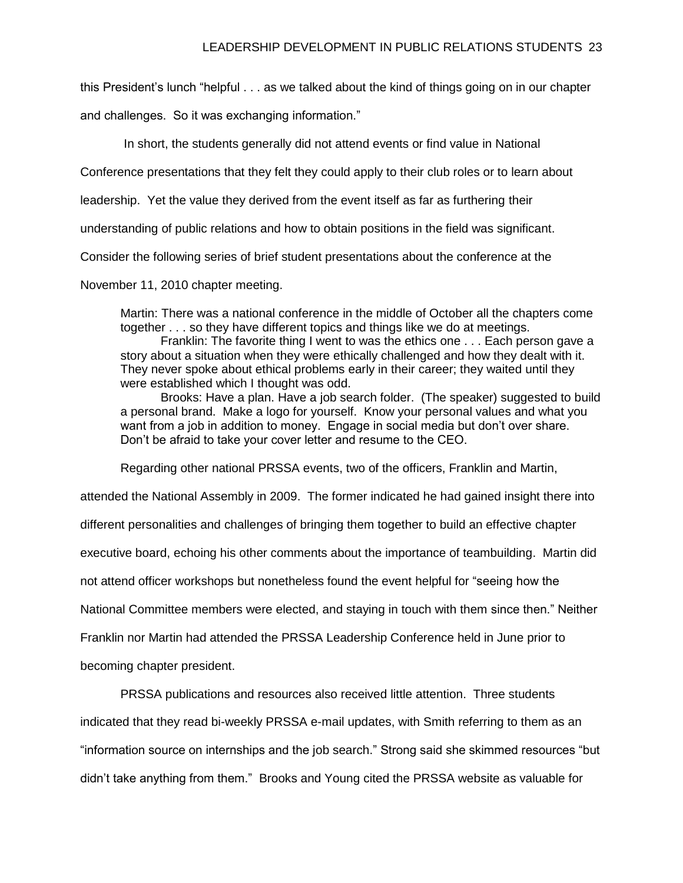this President's lunch "helpful . . . as we talked about the kind of things going on in our chapter

and challenges. So it was exchanging information."

In short, the students generally did not attend events or find value in National

Conference presentations that they felt they could apply to their club roles or to learn about

leadership. Yet the value they derived from the event itself as far as furthering their

understanding of public relations and how to obtain positions in the field was significant.

Consider the following series of brief student presentations about the conference at the

November 11, 2010 chapter meeting.

Martin: There was a national conference in the middle of October all the chapters come together . . . so they have different topics and things like we do at meetings.

Franklin: The favorite thing I went to was the ethics one . . . Each person gave a story about a situation when they were ethically challenged and how they dealt with it. They never spoke about ethical problems early in their career; they waited until they were established which I thought was odd.

Brooks: Have a plan. Have a job search folder. (The speaker) suggested to build a personal brand. Make a logo for yourself. Know your personal values and what you want from a job in addition to money. Engage in social media but don't over share. Don't be afraid to take your cover letter and resume to the CEO.

Regarding other national PRSSA events, two of the officers, Franklin and Martin,

attended the National Assembly in 2009. The former indicated he had gained insight there into

different personalities and challenges of bringing them together to build an effective chapter

executive board, echoing his other comments about the importance of teambuilding. Martin did

not attend officer workshops but nonetheless found the event helpful for "seeing how the

National Committee members were elected, and staying in touch with them since then." Neither

Franklin nor Martin had attended the PRSSA Leadership Conference held in June prior to

becoming chapter president.

PRSSA publications and resources also received little attention. Three students

indicated that they read bi-weekly PRSSA e-mail updates, with Smith referring to them as an

"information source on internships and the job search." Strong said she skimmed resources "but

didn't take anything from them." Brooks and Young cited the PRSSA website as valuable for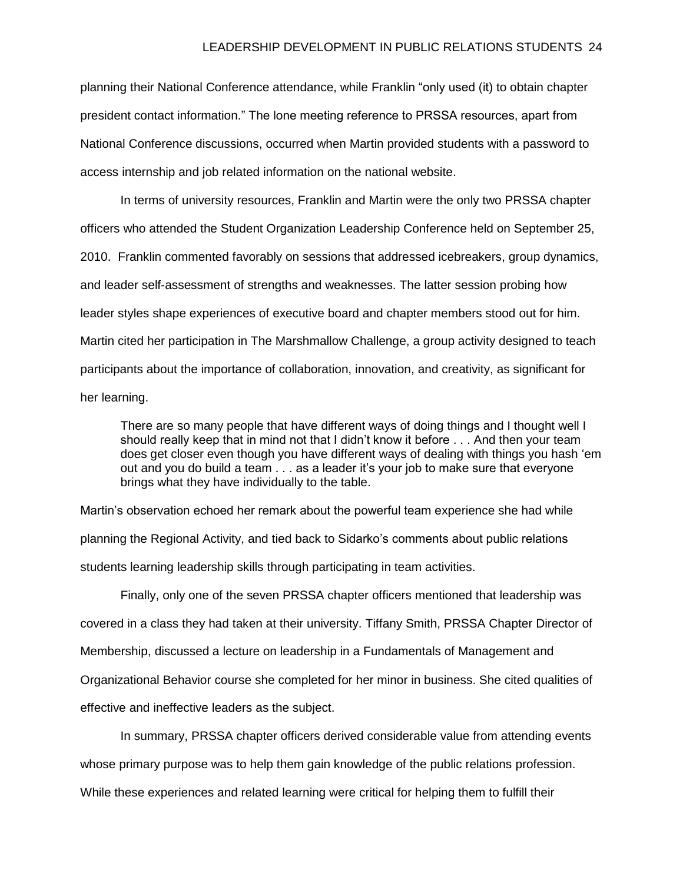planning their National Conference attendance, while Franklin "only used (it) to obtain chapter president contact information." The lone meeting reference to PRSSA resources, apart from National Conference discussions, occurred when Martin provided students with a password to access internship and job related information on the national website.

In terms of university resources, Franklin and Martin were the only two PRSSA chapter officers who attended the Student Organization Leadership Conference held on September 25, 2010. Franklin commented favorably on sessions that addressed icebreakers, group dynamics, and leader self-assessment of strengths and weaknesses. The latter session probing how leader styles shape experiences of executive board and chapter members stood out for him. Martin cited her participation in The Marshmallow Challenge, a group activity designed to teach participants about the importance of collaboration, innovation, and creativity, as significant for her learning.

There are so many people that have different ways of doing things and I thought well I should really keep that in mind not that I didn't know it before . . . And then your team does get closer even though you have different ways of dealing with things you hash 'em out and you do build a team . . . as a leader it's your job to make sure that everyone brings what they have individually to the table.

Martin's observation echoed her remark about the powerful team experience she had while planning the Regional Activity, and tied back to Sidarko's comments about public relations students learning leadership skills through participating in team activities.

Finally, only one of the seven PRSSA chapter officers mentioned that leadership was covered in a class they had taken at their university. Tiffany Smith, PRSSA Chapter Director of Membership, discussed a lecture on leadership in a Fundamentals of Management and Organizational Behavior course she completed for her minor in business. She cited qualities of effective and ineffective leaders as the subject.

In summary, PRSSA chapter officers derived considerable value from attending events whose primary purpose was to help them gain knowledge of the public relations profession. While these experiences and related learning were critical for helping them to fulfill their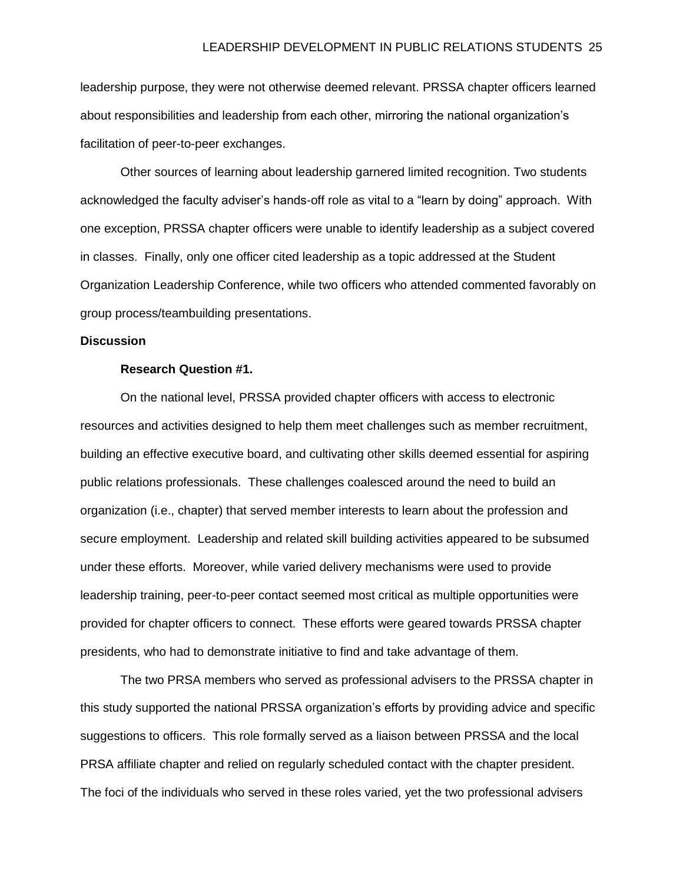leadership purpose, they were not otherwise deemed relevant. PRSSA chapter officers learned about responsibilities and leadership from each other, mirroring the national organization's facilitation of peer-to-peer exchanges.

Other sources of learning about leadership garnered limited recognition. Two students acknowledged the faculty adviser's hands-off role as vital to a "learn by doing" approach. With one exception, PRSSA chapter officers were unable to identify leadership as a subject covered in classes. Finally, only one officer cited leadership as a topic addressed at the Student Organization Leadership Conference, while two officers who attended commented favorably on group process/teambuilding presentations.

#### **Discussion**

## **Research Question #1.**

On the national level, PRSSA provided chapter officers with access to electronic resources and activities designed to help them meet challenges such as member recruitment, building an effective executive board, and cultivating other skills deemed essential for aspiring public relations professionals. These challenges coalesced around the need to build an organization (i.e., chapter) that served member interests to learn about the profession and secure employment. Leadership and related skill building activities appeared to be subsumed under these efforts. Moreover, while varied delivery mechanisms were used to provide leadership training, peer-to-peer contact seemed most critical as multiple opportunities were provided for chapter officers to connect. These efforts were geared towards PRSSA chapter presidents, who had to demonstrate initiative to find and take advantage of them.

The two PRSA members who served as professional advisers to the PRSSA chapter in this study supported the national PRSSA organization's efforts by providing advice and specific suggestions to officers. This role formally served as a liaison between PRSSA and the local PRSA affiliate chapter and relied on regularly scheduled contact with the chapter president. The foci of the individuals who served in these roles varied, yet the two professional advisers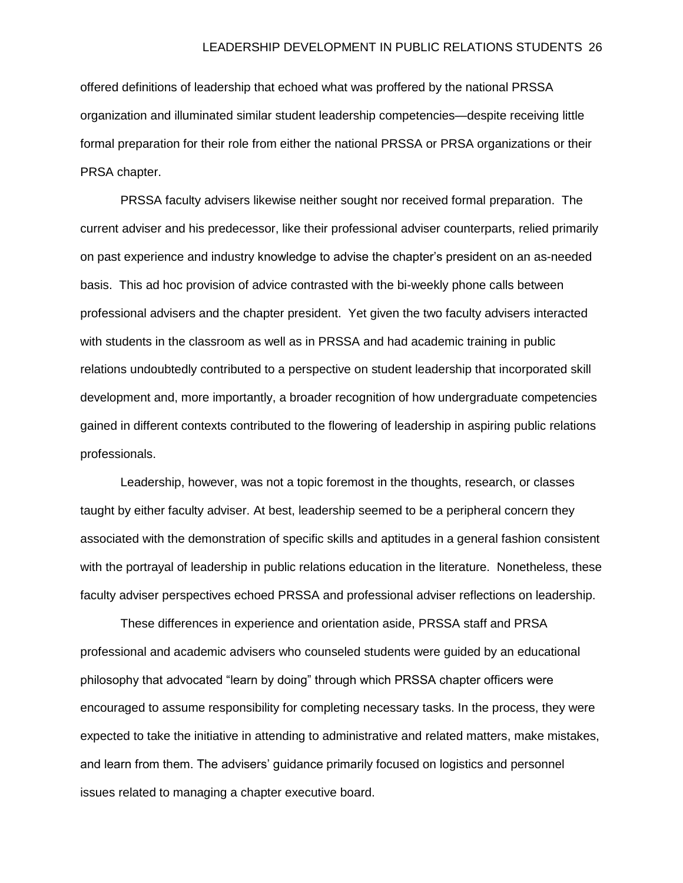offered definitions of leadership that echoed what was proffered by the national PRSSA organization and illuminated similar student leadership competencies—despite receiving little formal preparation for their role from either the national PRSSA or PRSA organizations or their PRSA chapter.

PRSSA faculty advisers likewise neither sought nor received formal preparation. The current adviser and his predecessor, like their professional adviser counterparts, relied primarily on past experience and industry knowledge to advise the chapter's president on an as-needed basis. This ad hoc provision of advice contrasted with the bi-weekly phone calls between professional advisers and the chapter president. Yet given the two faculty advisers interacted with students in the classroom as well as in PRSSA and had academic training in public relations undoubtedly contributed to a perspective on student leadership that incorporated skill development and, more importantly, a broader recognition of how undergraduate competencies gained in different contexts contributed to the flowering of leadership in aspiring public relations professionals.

Leadership, however, was not a topic foremost in the thoughts, research, or classes taught by either faculty adviser. At best, leadership seemed to be a peripheral concern they associated with the demonstration of specific skills and aptitudes in a general fashion consistent with the portrayal of leadership in public relations education in the literature. Nonetheless, these faculty adviser perspectives echoed PRSSA and professional adviser reflections on leadership.

These differences in experience and orientation aside, PRSSA staff and PRSA professional and academic advisers who counseled students were guided by an educational philosophy that advocated "learn by doing" through which PRSSA chapter officers were encouraged to assume responsibility for completing necessary tasks. In the process, they were expected to take the initiative in attending to administrative and related matters, make mistakes, and learn from them. The advisers' guidance primarily focused on logistics and personnel issues related to managing a chapter executive board.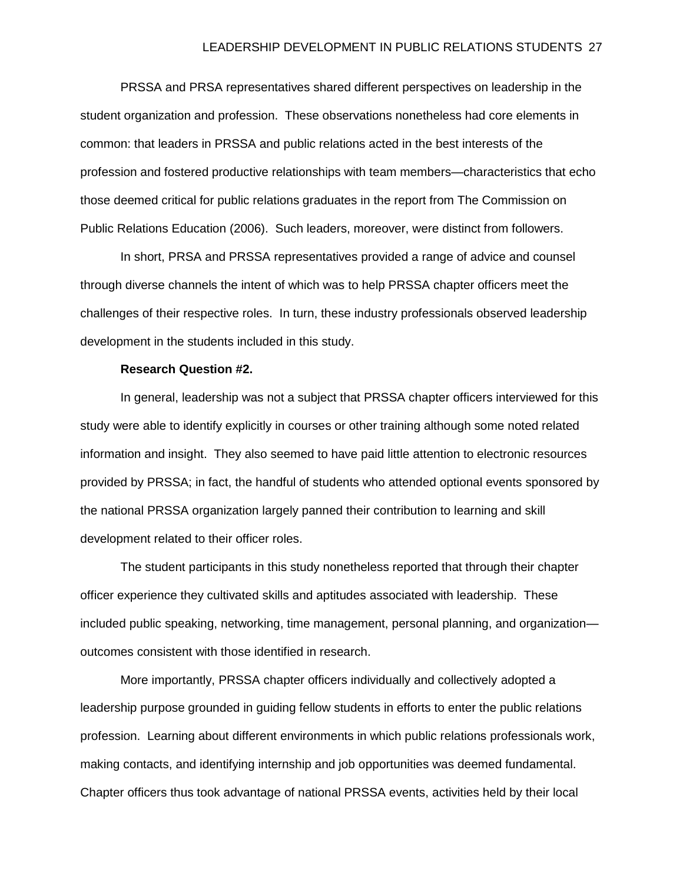#### LEADERSHIP DEVELOPMENT IN PUBLIC RELATIONS STUDENTS 27

PRSSA and PRSA representatives shared different perspectives on leadership in the student organization and profession. These observations nonetheless had core elements in common: that leaders in PRSSA and public relations acted in the best interests of the profession and fostered productive relationships with team members—characteristics that echo those deemed critical for public relations graduates in the report from The Commission on Public Relations Education (2006). Such leaders, moreover, were distinct from followers.

In short, PRSA and PRSSA representatives provided a range of advice and counsel through diverse channels the intent of which was to help PRSSA chapter officers meet the challenges of their respective roles. In turn, these industry professionals observed leadership development in the students included in this study.

#### **Research Question #2.**

In general, leadership was not a subject that PRSSA chapter officers interviewed for this study were able to identify explicitly in courses or other training although some noted related information and insight. They also seemed to have paid little attention to electronic resources provided by PRSSA; in fact, the handful of students who attended optional events sponsored by the national PRSSA organization largely panned their contribution to learning and skill development related to their officer roles.

The student participants in this study nonetheless reported that through their chapter officer experience they cultivated skills and aptitudes associated with leadership. These included public speaking, networking, time management, personal planning, and organization outcomes consistent with those identified in research.

More importantly, PRSSA chapter officers individually and collectively adopted a leadership purpose grounded in guiding fellow students in efforts to enter the public relations profession. Learning about different environments in which public relations professionals work, making contacts, and identifying internship and job opportunities was deemed fundamental. Chapter officers thus took advantage of national PRSSA events, activities held by their local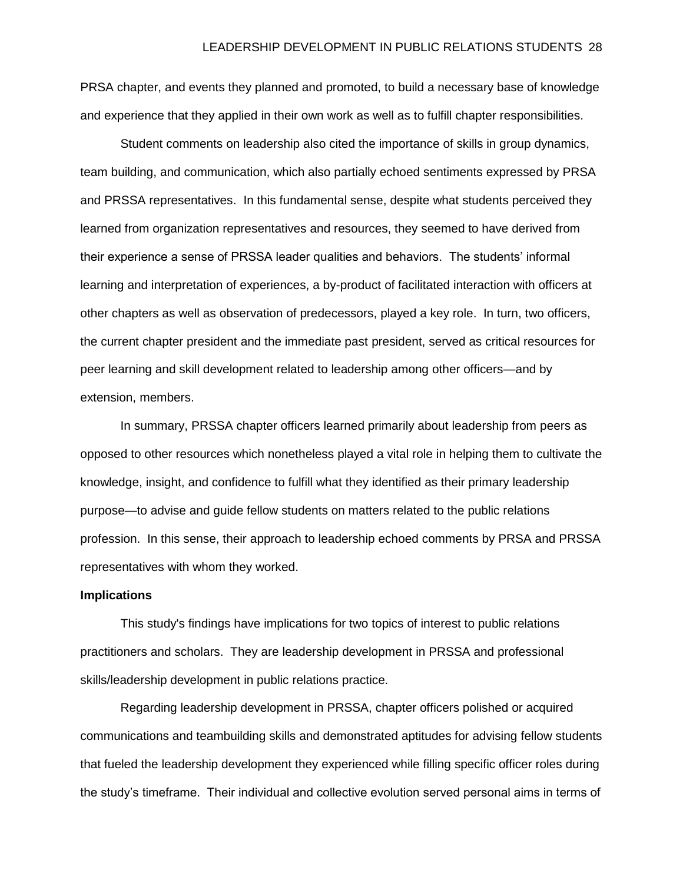PRSA chapter, and events they planned and promoted, to build a necessary base of knowledge and experience that they applied in their own work as well as to fulfill chapter responsibilities.

Student comments on leadership also cited the importance of skills in group dynamics, team building, and communication, which also partially echoed sentiments expressed by PRSA and PRSSA representatives. In this fundamental sense, despite what students perceived they learned from organization representatives and resources, they seemed to have derived from their experience a sense of PRSSA leader qualities and behaviors. The students' informal learning and interpretation of experiences, a by-product of facilitated interaction with officers at other chapters as well as observation of predecessors, played a key role. In turn, two officers, the current chapter president and the immediate past president, served as critical resources for peer learning and skill development related to leadership among other officers—and by extension, members.

In summary, PRSSA chapter officers learned primarily about leadership from peers as opposed to other resources which nonetheless played a vital role in helping them to cultivate the knowledge, insight, and confidence to fulfill what they identified as their primary leadership purpose—to advise and guide fellow students on matters related to the public relations profession. In this sense, their approach to leadership echoed comments by PRSA and PRSSA representatives with whom they worked.

# **Implications**

This study's findings have implications for two topics of interest to public relations practitioners and scholars. They are leadership development in PRSSA and professional skills/leadership development in public relations practice.

Regarding leadership development in PRSSA, chapter officers polished or acquired communications and teambuilding skills and demonstrated aptitudes for advising fellow students that fueled the leadership development they experienced while filling specific officer roles during the study's timeframe. Their individual and collective evolution served personal aims in terms of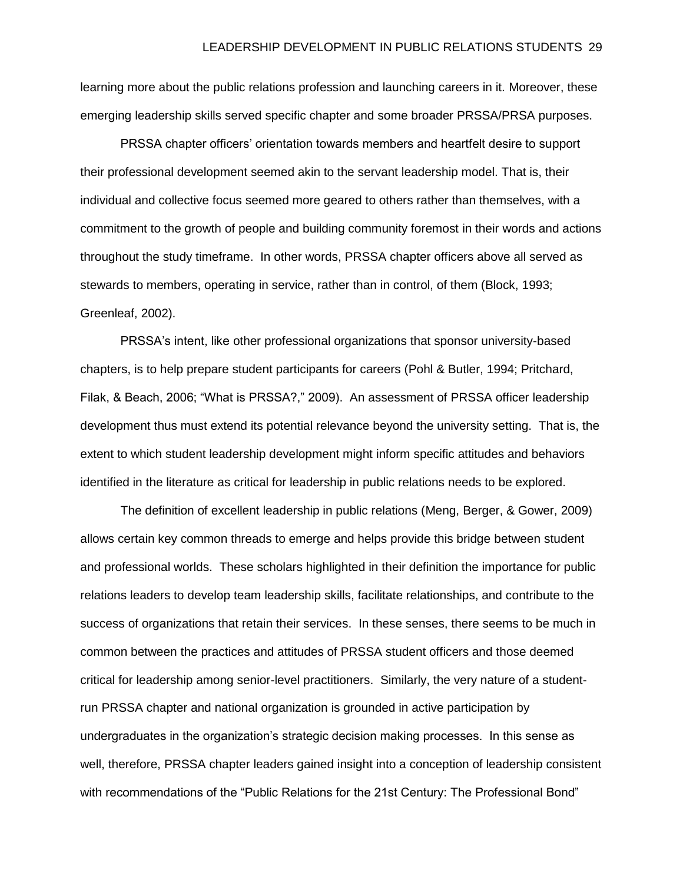learning more about the public relations profession and launching careers in it. Moreover, these emerging leadership skills served specific chapter and some broader PRSSA/PRSA purposes.

PRSSA chapter officers' orientation towards members and heartfelt desire to support their professional development seemed akin to the servant leadership model. That is, their individual and collective focus seemed more geared to others rather than themselves, with a commitment to the growth of people and building community foremost in their words and actions throughout the study timeframe. In other words, PRSSA chapter officers above all served as stewards to members, operating in service, rather than in control, of them (Block, 1993; Greenleaf, 2002).

PRSSA's intent, like other professional organizations that sponsor university-based chapters, is to help prepare student participants for careers (Pohl & Butler, 1994; Pritchard, Filak, & Beach, 2006; "What is PRSSA?," 2009). An assessment of PRSSA officer leadership development thus must extend its potential relevance beyond the university setting. That is, the extent to which student leadership development might inform specific attitudes and behaviors identified in the literature as critical for leadership in public relations needs to be explored.

The definition of excellent leadership in public relations (Meng, Berger, & Gower, 2009) allows certain key common threads to emerge and helps provide this bridge between student and professional worlds. These scholars highlighted in their definition the importance for public relations leaders to develop team leadership skills, facilitate relationships, and contribute to the success of organizations that retain their services. In these senses, there seems to be much in common between the practices and attitudes of PRSSA student officers and those deemed critical for leadership among senior-level practitioners. Similarly, the very nature of a studentrun PRSSA chapter and national organization is grounded in active participation by undergraduates in the organization's strategic decision making processes. In this sense as well, therefore, PRSSA chapter leaders gained insight into a conception of leadership consistent with recommendations of the "Public Relations for the 21st Century: The Professional Bond"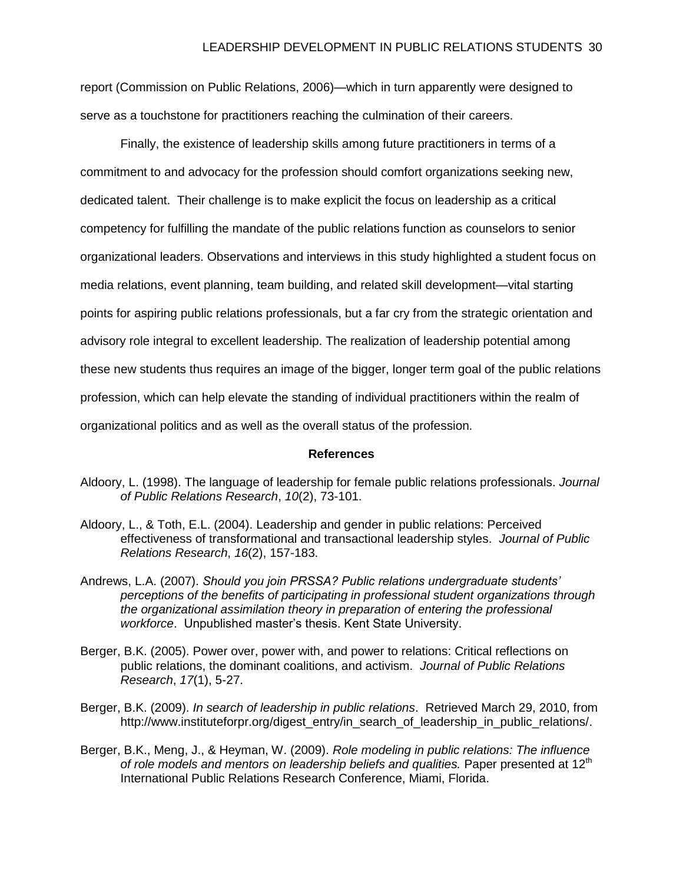report (Commission on Public Relations, 2006)—which in turn apparently were designed to serve as a touchstone for practitioners reaching the culmination of their careers.

Finally, the existence of leadership skills among future practitioners in terms of a commitment to and advocacy for the profession should comfort organizations seeking new, dedicated talent. Their challenge is to make explicit the focus on leadership as a critical competency for fulfilling the mandate of the public relations function as counselors to senior organizational leaders. Observations and interviews in this study highlighted a student focus on media relations, event planning, team building, and related skill development—vital starting points for aspiring public relations professionals, but a far cry from the strategic orientation and advisory role integral to excellent leadership. The realization of leadership potential among these new students thus requires an image of the bigger, longer term goal of the public relations profession, which can help elevate the standing of individual practitioners within the realm of organizational politics and as well as the overall status of the profession.

#### **References**

- Aldoory, L. (1998). The language of leadership for female public relations professionals. *Journal of Public Relations Research*, *10*(2), 73-101.
- Aldoory, L., & Toth, E.L. (2004). Leadership and gender in public relations: Perceived effectiveness of transformational and transactional leadership styles. *Journal of Public Relations Research*, *16*(2), 157-183.
- Andrews, L.A. (2007). *Should you join PRSSA? Public relations undergraduate students' perceptions of the benefits of participating in professional student organizations through the organizational assimilation theory in preparation of entering the professional workforce*. Unpublished master's thesis. Kent State University.
- Berger, B.K. (2005). Power over, power with, and power to relations: Critical reflections on public relations, the dominant coalitions, and activism. *Journal of Public Relations Research*, *17*(1), 5-27.
- Berger, B.K. (2009). *In search of leadership in public relations*. Retrieved March 29, 2010, from [http://www.instituteforpr.org/digest\\_entry/in\\_search\\_of\\_leadership\\_in\\_public\\_relations/.](http://www.instituteforpr.org/digest_entry/in_search_of_leadership_in_public_relations/)
- Berger, B.K., Meng, J., & Heyman, W. (2009). *Role modeling in public relations: The influence*  of role models and mentors on leadership beliefs and qualities. Paper presented at 12<sup>th</sup> International Public Relations Research Conference, Miami, Florida.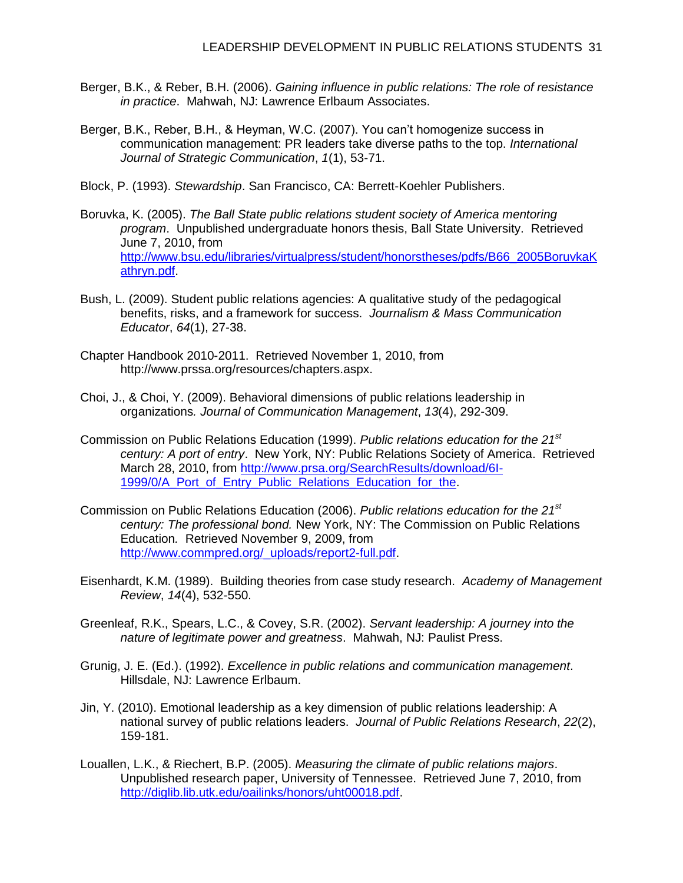- Berger, B.K., & Reber, B.H. (2006). *Gaining influence in public relations: The role of resistance in practice*. Mahwah, NJ: Lawrence Erlbaum Associates.
- Berger, B.K., Reber, B.H., & Heyman, W.C. (2007). You can't homogenize success in communication management: PR leaders take diverse paths to the top. *International Journal of Strategic Communication*, *1*(1), 53-71.

Block, P. (1993). *Stewardship*. San Francisco, CA: Berrett-Koehler Publishers.

- Boruvka, K. (2005). *The Ball State public relations student society of America mentoring program*. Unpublished undergraduate honors thesis, Ball State University. Retrieved June 7, 2010, from [http://www.bsu.edu/libraries/virtualpress/student/honorstheses/pdfs/B66\\_2005BoruvkaK](http://www.bsu.edu/libraries/virtualpress/student/honorstheses/pdfs/B66_2005BoruvkaKathryn.pdf) [athryn.pdf.](http://www.bsu.edu/libraries/virtualpress/student/honorstheses/pdfs/B66_2005BoruvkaKathryn.pdf)
- Bush, L. (2009). Student public relations agencies: A qualitative study of the pedagogical benefits, risks, and a framework for success. *Journalism & Mass Communication Educator*, *64*(1), 27-38.
- Chapter Handbook 2010-2011. Retrieved November 1, 2010, from [http://www.prssa.org/resources/chapters.aspx.](http://www.prssa.org/resources/chapters.aspx)
- Choi, J., & Choi, Y. (2009). Behavioral dimensions of public relations leadership in organizations*. Journal of Communication Management*, *13*(4), 292-309.
- Commission on Public Relations Education (1999). *Public relations education for the 21st century: A port of entry*. New York, NY: Public Relations Society of America. Retrieved March 28, 2010, from [http://www.prsa.org/SearchResults/download/6I-](http://www.prsa.org/SearchResults/download/6I-1999/0/A_Port_of_Entry_Public_Relations_Education_for_the)[1999/0/A\\_Port\\_of\\_Entry\\_Public\\_Relations\\_Education\\_for\\_the.](http://www.prsa.org/SearchResults/download/6I-1999/0/A_Port_of_Entry_Public_Relations_Education_for_the)
- Commission on Public Relations Education (2006). *Public relations education for the 21st century: The professional bond.* New York, NY: The Commission on Public Relations Education*.* Retrieved November 9, 2009, from [http://www.commpred.org/\\_uploads/report2-full.pdf.](http://www.commpred.org/_uploads/report2-full.pdf)
- Eisenhardt, K.M. (1989). Building theories from case study research. *Academy of Management Review*, *14*(4), 532-550.
- Greenleaf, R.K., Spears, L.C., & Covey, S.R. (2002). *Servant leadership: A journey into the nature of legitimate power and greatness*. Mahwah, NJ: Paulist Press.
- Grunig, J. E. (Ed.). (1992). *Excellence in public relations and communication management*. Hillsdale, NJ: Lawrence Erlbaum.
- Jin, Y. (2010). Emotional leadership as a key dimension of public relations leadership: A national survey of public relations leaders. *Journal of Public Relations Research*, *22*(2), 159-181.
- Louallen, L.K., & Riechert, B.P. (2005). *Measuring the climate of public relations majors*. Unpublished research paper, University of Tennessee. Retrieved June 7, 2010, from [http://diglib.lib.utk.edu/oailinks/honors/uht00018.pdf.](http://diglib.lib.utk.edu/oailinks/honors/uht00018.pdf)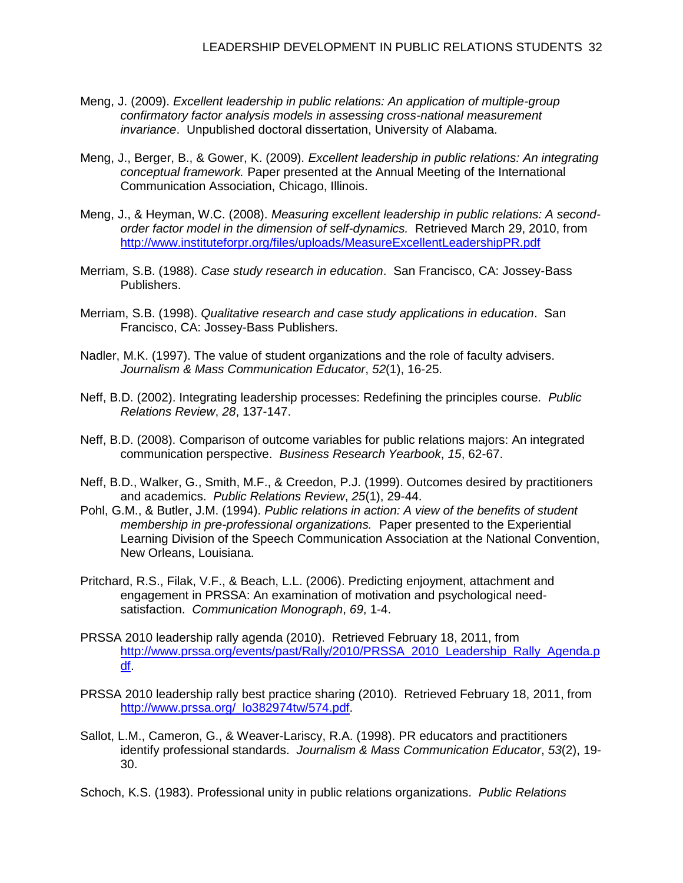- Meng, J. (2009). *Excellent leadership in public relations: An application of multiple-group confirmatory factor analysis models in assessing cross-national measurement invariance*. Unpublished doctoral dissertation, University of Alabama.
- Meng, J., Berger, B., & Gower, K. (2009). *Excellent leadership in public relations: An integrating conceptual framework.* Paper presented at the Annual Meeting of the International Communication Association, Chicago, Illinois.
- Meng, J., & Heyman, W.C. (2008). *Measuring excellent leadership in public relations: A secondorder factor model in the dimension of self-dynamics.* Retrieved March 29, 2010, from <http://www.instituteforpr.org/files/uploads/MeasureExcellentLeadershipPR.pdf>
- Merriam, S.B. (1988). *Case study research in education*. San Francisco, CA: Jossey-Bass Publishers.
- Merriam, S.B. (1998). *Qualitative research and case study applications in education*. San Francisco, CA: Jossey-Bass Publishers.
- Nadler, M.K. (1997). The value of student organizations and the role of faculty advisers. *Journalism & Mass Communication Educator*, *52*(1), 16-25.
- Neff, B.D. (2002). Integrating leadership processes: Redefining the principles course. *Public Relations Review*, *28*, 137-147.
- Neff, B.D. (2008). Comparison of outcome variables for public relations majors: An integrated communication perspective. *Business Research Yearbook*, *15*, 62-67.
- Neff, B.D., Walker, G., Smith, M.F., & Creedon, P.J. (1999). Outcomes desired by practitioners and academics. *Public Relations Review*, *25*(1), 29-44.
- Pohl, G.M., & Butler, J.M. (1994). *Public relations in action: A view of the benefits of student membership in pre-professional organizations.* Paper presented to the Experiential Learning Division of the Speech Communication Association at the National Convention, New Orleans, Louisiana.
- Pritchard, R.S., Filak, V.F., & Beach, L.L. (2006). Predicting enjoyment, attachment and engagement in PRSSA: An examination of motivation and psychological needsatisfaction. *Communication Monograph*, *69*, 1-4.
- PRSSA 2010 leadership rally agenda (2010). Retrieved February 18, 2011, from [http://www.prssa.org/events/past/Rally/2010/PRSSA\\_2010\\_Leadership\\_Rally\\_Agenda.p](http://www.prssa.org/events/past/Rally/2010/PRSSA_2010_Leadership_Rally_Agenda.pdf) [df.](http://www.prssa.org/events/past/Rally/2010/PRSSA_2010_Leadership_Rally_Agenda.pdf)
- PRSSA 2010 leadership rally best practice sharing (2010). Retrieved February 18, 2011, from http://www.prssa.org/ lo382974tw/574.pdf.
- Sallot, L.M., Cameron, G., & Weaver-Lariscy, R.A. (1998). PR educators and practitioners identify professional standards. *Journalism & Mass Communication Educator*, *53*(2), 19- 30.
- Schoch, K.S. (1983). Professional unity in public relations organizations. *Public Relations*